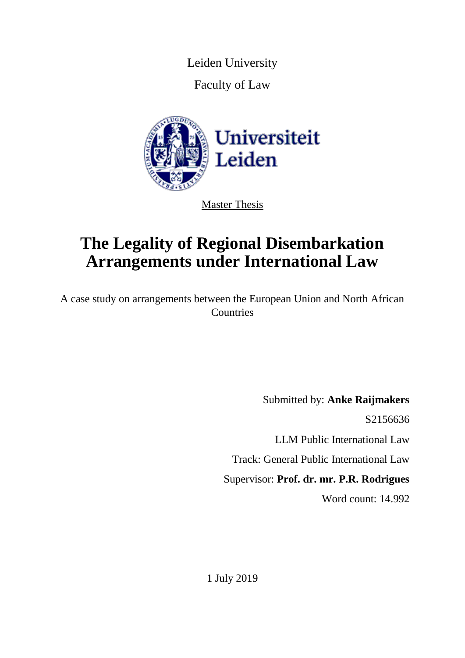Leiden University

Faculty of Law



Master Thesis

# **The Legality of Regional Disembarkation Arrangements under International Law**

A case study on arrangements between the European Union and North African **Countries** 

> Submitted by: **Anke Raijmakers** S2156636 LLM Public International Law Track: General Public International Law Supervisor: **Prof. dr. mr. P.R. Rodrigues** Word count: 14.992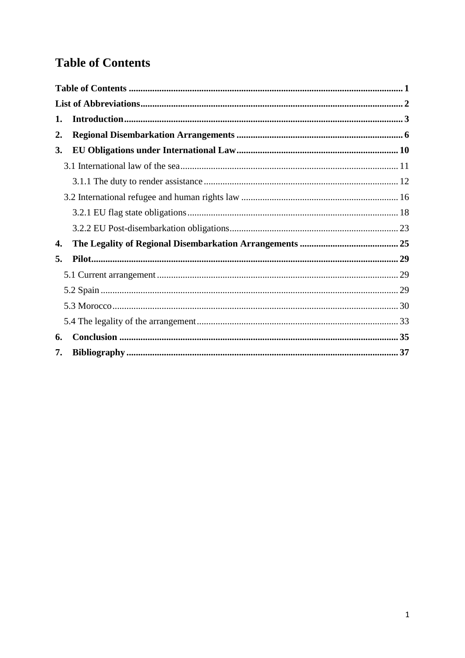# <span id="page-1-0"></span>**Table of Contents**

| 1. |  |
|----|--|
| 2. |  |
| 3. |  |
|    |  |
|    |  |
|    |  |
|    |  |
|    |  |
| 4. |  |
| 5. |  |
|    |  |
|    |  |
|    |  |
|    |  |
| 6. |  |
| 7. |  |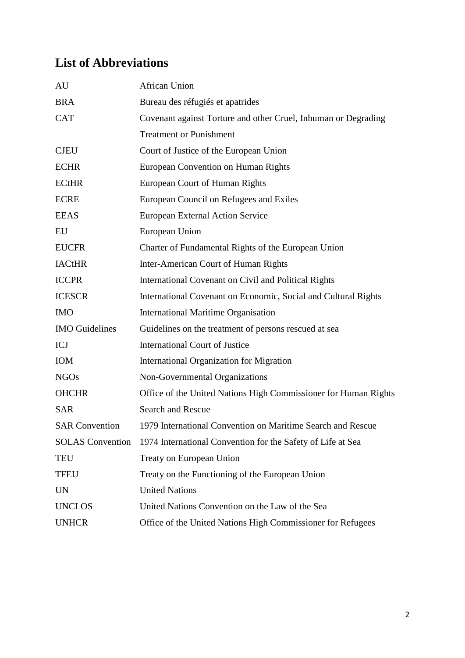# <span id="page-2-0"></span>**List of Abbreviations**

| AU                    | <b>African Union</b>                                                         |
|-----------------------|------------------------------------------------------------------------------|
| <b>BRA</b>            | Bureau des réfugiés et apatrides                                             |
| <b>CAT</b>            | Covenant against Torture and other Cruel, Inhuman or Degrading               |
|                       | <b>Treatment or Punishment</b>                                               |
| <b>CJEU</b>           | Court of Justice of the European Union                                       |
| <b>ECHR</b>           | European Convention on Human Rights                                          |
| <b>ECtHR</b>          | European Court of Human Rights                                               |
| <b>ECRE</b>           | European Council on Refugees and Exiles                                      |
| <b>EEAS</b>           | <b>European External Action Service</b>                                      |
| EU                    | European Union                                                               |
| <b>EUCFR</b>          | Charter of Fundamental Rights of the European Union                          |
| <b>IACtHR</b>         | Inter-American Court of Human Rights                                         |
| <b>ICCPR</b>          | International Covenant on Civil and Political Rights                         |
| <b>ICESCR</b>         | International Covenant on Economic, Social and Cultural Rights               |
| <b>IMO</b>            | <b>International Maritime Organisation</b>                                   |
| <b>IMO</b> Guidelines | Guidelines on the treatment of persons rescued at sea                        |
| <b>ICJ</b>            | <b>International Court of Justice</b>                                        |
| IOM                   | <b>International Organization for Migration</b>                              |
| <b>NGOs</b>           | Non-Governmental Organizations                                               |
| <b>OHCHR</b>          | Office of the United Nations High Commissioner for Human Rights              |
| <b>SAR</b>            | <b>Search and Rescue</b>                                                     |
| <b>SAR Convention</b> | 1979 International Convention on Maritime Search and Rescue                  |
|                       | SOLAS Convention 1974 International Convention for the Safety of Life at Sea |
| TEU                   | Treaty on European Union                                                     |
| <b>TFEU</b>           | Treaty on the Functioning of the European Union                              |
| <b>UN</b>             | <b>United Nations</b>                                                        |
| <b>UNCLOS</b>         | United Nations Convention on the Law of the Sea                              |
| <b>UNHCR</b>          | Office of the United Nations High Commissioner for Refugees                  |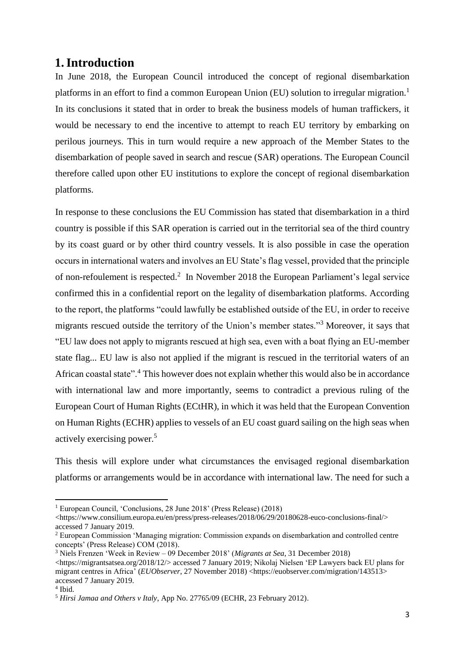# <span id="page-3-0"></span>**1.Introduction**

In June 2018, the European Council introduced the concept of regional disembarkation platforms in an effort to find a common European Union (EU) solution to irregular migration.<sup>1</sup> In its conclusions it stated that in order to break the business models of human traffickers, it would be necessary to end the incentive to attempt to reach EU territory by embarking on perilous journeys. This in turn would require a new approach of the Member States to the disembarkation of people saved in search and rescue (SAR) operations. The European Council therefore called upon other EU institutions to explore the concept of regional disembarkation platforms.

In response to these conclusions the EU Commission has stated that disembarkation in a third country is possible if this SAR operation is carried out in the territorial sea of the third country by its coast guard or by other third country vessels. It is also possible in case the operation occurs in international waters and involves an EU State's flag vessel, provided that the principle of non-refoulement is respected.<sup>2</sup> In November 2018 the European Parliament's legal service confirmed this in a confidential report on the legality of disembarkation platforms. According to the report, the platforms "could lawfully be established outside of the EU, in order to receive migrants rescued outside the territory of the Union's member states."<sup>3</sup> Moreover, it says that "EU law does not apply to migrants rescued at high sea, even with a boat flying an EU-member state flag... EU law is also not applied if the migrant is rescued in the territorial waters of an African coastal state".<sup>4</sup> This however does not explain whether this would also be in accordance with international law and more importantly, seems to contradict a previous ruling of the European Court of Human Rights (ECtHR), in which it was held that the European Convention on Human Rights (ECHR) applies to vessels of an EU coast guard sailing on the high seas when actively exercising power.<sup>5</sup>

This thesis will explore under what circumstances the envisaged regional disembarkation platforms or arrangements would be in accordance with international law. The need for such a

<sup>1</sup> European Council, 'Conclusions, 28 June 2018' (Press Release) (2018)

 $\langle$ https://www.consilium.europa.eu/en/press/press-releases/2018/06/29/20180628-euco-conclusions-final/> accessed 7 January 2019.

<sup>2</sup> European Commission 'Managing migration: Commission expands on disembarkation and controlled centre concepts' (Press Release) COM (2018).

<sup>3</sup> Niels Frenzen 'Week in Review – 09 December 2018' (*Migrants at Sea*, 31 December 2018) <https://migrantsatsea.org/2018/12/> accessed 7 January 2019; Nikolaj Nielsen 'EP Lawyers back EU plans for migrant centres in Africa' (*EUObserver*, 27 November 2018) <https://euobserver.com/migration/143513> accessed 7 January 2019.

<sup>4</sup> Ibid.

<sup>5</sup> *Hirsi Jamaa and Others v Italy*, App No. 27765/09 (ECHR, 23 February 2012).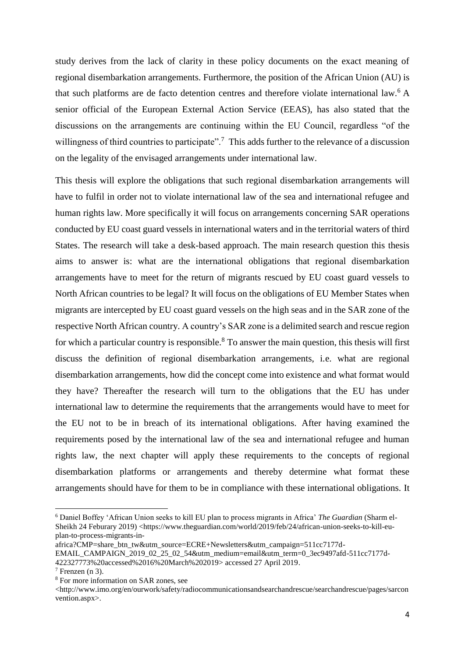study derives from the lack of clarity in these policy documents on the exact meaning of regional disembarkation arrangements. Furthermore, the position of the African Union (AU) is that such platforms are de facto detention centres and therefore violate international law.<sup>6</sup> A senior official of the European External Action Service (EEAS), has also stated that the discussions on the arrangements are continuing within the EU Council, regardless "of the willingness of third countries to participate".<sup>7</sup> This adds further to the relevance of a discussion on the legality of the envisaged arrangements under international law.

This thesis will explore the obligations that such regional disembarkation arrangements will have to fulfil in order not to violate international law of the sea and international refugee and human rights law. More specifically it will focus on arrangements concerning SAR operations conducted by EU coast guard vessels in international waters and in the territorial waters of third States. The research will take a desk-based approach. The main research question this thesis aims to answer is: what are the international obligations that regional disembarkation arrangements have to meet for the return of migrants rescued by EU coast guard vessels to North African countries to be legal? It will focus on the obligations of EU Member States when migrants are intercepted by EU coast guard vessels on the high seas and in the SAR zone of the respective North African country. A country's SAR zone is a delimited search and rescue region for which a particular country is responsible.<sup>8</sup> To answer the main question, this thesis will first discuss the definition of regional disembarkation arrangements, i.e. what are regional disembarkation arrangements, how did the concept come into existence and what format would they have? Thereafter the research will turn to the obligations that the EU has under international law to determine the requirements that the arrangements would have to meet for the EU not to be in breach of its international obligations. After having examined the requirements posed by the international law of the sea and international refugee and human rights law, the next chapter will apply these requirements to the concepts of regional disembarkation platforms or arrangements and thereby determine what format these arrangements should have for them to be in compliance with these international obligations. It

<sup>6</sup> Daniel Boffey 'African Union seeks to kill EU plan to process migrants in Africa' *The Guardian* (Sharm el-Sheikh 24 Feburary 2019) <https://www.theguardian.com/world/2019/feb/24/african-union-seeks-to-kill-euplan-to-process-migrants-in-

africa?CMP=share\_btn\_tw&utm\_source=ECRE+Newsletters&utm\_campaign=511cc7177d-EMAIL\_CAMPAIGN\_2019\_02\_25\_02\_54&utm\_medium=email&utm\_term=0\_3ec9497afd-511cc7177d-422327773%20accessed%2016%20March%202019> accessed 27 April 2019.

 $7$  Frenzen (n 3).

<sup>8</sup> For more information on SAR zones, see

<sup>&</sup>lt;http://www.imo.org/en/ourwork/safety/radiocommunicationsandsearchandrescue/searchandrescue/pages/sarcon vention.aspx>.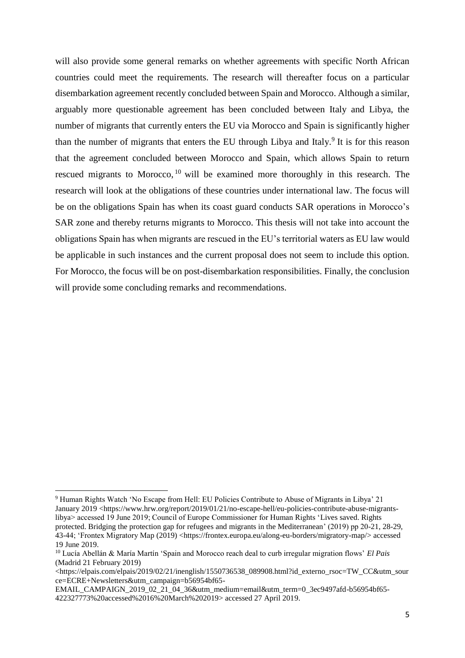will also provide some general remarks on whether agreements with specific North African countries could meet the requirements. The research will thereafter focus on a particular disembarkation agreement recently concluded between Spain and Morocco. Although a similar, arguably more questionable agreement has been concluded between Italy and Libya, the number of migrants that currently enters the EU via Morocco and Spain is significantly higher than the number of migrants that enters the EU through Libya and Italy.<sup>9</sup> It is for this reason that the agreement concluded between Morocco and Spain, which allows Spain to return rescued migrants to Morocco, <sup>10</sup> will be examined more thoroughly in this research. The research will look at the obligations of these countries under international law. The focus will be on the obligations Spain has when its coast guard conducts SAR operations in Morocco's SAR zone and thereby returns migrants to Morocco. This thesis will not take into account the obligations Spain has when migrants are rescued in the EU's territorial waters as EU law would be applicable in such instances and the current proposal does not seem to include this option. For Morocco, the focus will be on post-disembarkation responsibilities. Finally, the conclusion will provide some concluding remarks and recommendations.

<sup>9</sup> Human Rights Watch 'No Escape from Hell: EU Policies Contribute to Abuse of Migrants in Libya' 21 January 2019 <https://www.hrw.org/report/2019/01/21/no-escape-hell/eu-policies-contribute-abuse-migrantslibya> accessed 19 June 2019; Council of Europe Commissioner for Human Rights 'Lives saved. Rights protected. Bridging the protection gap for refugees and migrants in the Mediterranean' (2019) pp 20-21, 28-29, 43-44; 'Frontex Migratory Map (2019) <https://frontex.europa.eu/along-eu-borders/migratory-map/> accessed 19 June 2019.

<sup>10</sup> Lucía Abellán & María Martín 'Spain and Morocco reach deal to curb irregular migration flows' *El Pais*  (Madrid 21 February 2019)

<sup>&</sup>lt;https://elpais.com/elpais/2019/02/21/inenglish/1550736538\_089908.html?id\_externo\_rsoc=TW\_CC&utm\_sour</a> ce=ECRE+Newsletters&utm\_campaign=b56954bf65-

EMAIL\_CAMPAIGN\_2019\_02\_21\_04\_36&utm\_medium=email&utm\_term=0\_3ec9497afd-b56954bf65-422327773%20accessed%2016%20March%202019> accessed 27 April 2019.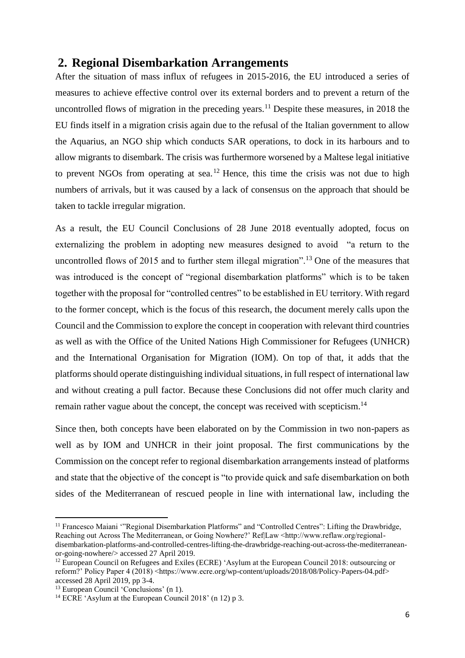# <span id="page-6-0"></span>**2. Regional Disembarkation Arrangements**

After the situation of mass influx of refugees in 2015-2016, the EU introduced a series of measures to achieve effective control over its external borders and to prevent a return of the uncontrolled flows of migration in the preceding years.<sup>11</sup> Despite these measures, in 2018 the EU finds itself in a migration crisis again due to the refusal of the Italian government to allow the Aquarius, an NGO ship which conducts SAR operations, to dock in its harbours and to allow migrants to disembark. The crisis was furthermore worsened by a Maltese legal initiative to prevent NGOs from operating at sea.<sup>12</sup> Hence, this time the crisis was not due to high numbers of arrivals, but it was caused by a lack of consensus on the approach that should be taken to tackle irregular migration.

As a result, the EU Council Conclusions of 28 June 2018 eventually adopted, focus on externalizing the problem in adopting new measures designed to avoid "a return to the uncontrolled flows of 2015 and to further stem illegal migration".<sup>13</sup> One of the measures that was introduced is the concept of "regional disembarkation platforms" which is to be taken together with the proposal for "controlled centres" to be established in EU territory. With regard to the former concept, which is the focus of this research, the document merely calls upon the Council and the Commission to explore the concept in cooperation with relevant third countries as well as with the Office of the United Nations High Commissioner for Refugees (UNHCR) and the International Organisation for Migration (IOM). On top of that, it adds that the platforms should operate distinguishing individual situations, in full respect of international law and without creating a pull factor. Because these Conclusions did not offer much clarity and remain rather vague about the concept, the concept was received with scepticism.<sup>14</sup>

Since then, both concepts have been elaborated on by the Commission in two non-papers as well as by IOM and UNHCR in their joint proposal. The first communications by the Commission on the concept refer to regional disembarkation arrangements instead of platforms and state that the objective of the concept is "to provide quick and safe disembarkation on both sides of the Mediterranean of rescued people in line with international law, including the

<sup>11</sup> Francesco Maiani '"Regional Disembarkation Platforms" and "Controlled Centres": Lifting the Drawbridge, Reaching out Across The Mediterranean, or Going Nowhere?' Ref|Law <http://www.reflaw.org/regionaldisembarkation-platforms-and-controlled-centres-lifting-the-drawbridge-reaching-out-across-the-mediterraneanor-going-nowhere/> accessed 27 April 2019.

<sup>&</sup>lt;sup>12</sup> European Council on Refugees and Exiles (ECRE) 'Asylum at the European Council 2018: outsourcing or reform?' Policy Paper 4 (2018) <https://www.ecre.org/wp-content/uploads/2018/08/Policy-Papers-04.pdf> accessed 28 April 2019, pp 3-4.

<sup>13</sup> European Council 'Conclusions' (n 1).

<sup>14</sup> ECRE 'Asylum at the European Council 2018' (n 12) p 3.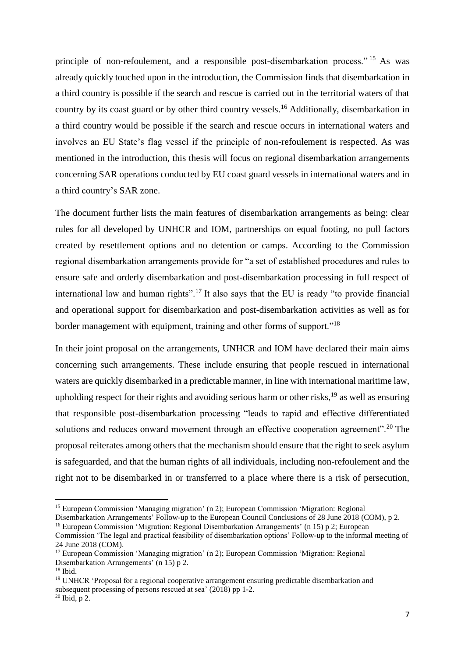principle of non-refoulement, and a responsible post-disembarkation process."<sup>15</sup> As was already quickly touched upon in the introduction, the Commission finds that disembarkation in a third country is possible if the search and rescue is carried out in the territorial waters of that country by its coast guard or by other third country vessels.<sup>16</sup> Additionally, disembarkation in a third country would be possible if the search and rescue occurs in international waters and involves an EU State's flag vessel if the principle of non-refoulement is respected. As was mentioned in the introduction, this thesis will focus on regional disembarkation arrangements concerning SAR operations conducted by EU coast guard vessels in international waters and in a third country's SAR zone.

The document further lists the main features of disembarkation arrangements as being: clear rules for all developed by UNHCR and IOM, partnerships on equal footing, no pull factors created by resettlement options and no detention or camps. According to the Commission regional disembarkation arrangements provide for "a set of established procedures and rules to ensure safe and orderly disembarkation and post-disembarkation processing in full respect of international law and human rights".<sup>17</sup> It also says that the EU is ready "to provide financial and operational support for disembarkation and post-disembarkation activities as well as for border management with equipment, training and other forms of support."<sup>18</sup>

In their joint proposal on the arrangements, UNHCR and IOM have declared their main aims concerning such arrangements. These include ensuring that people rescued in international waters are quickly disembarked in a predictable manner, in line with international maritime law, upholding respect for their rights and avoiding serious harm or other risks,  $19$  as well as ensuring that responsible post-disembarkation processing "leads to rapid and effective differentiated solutions and reduces onward movement through an effective cooperation agreement".<sup>20</sup> The proposal reiterates among others that the mechanism should ensure that the right to seek asylum is safeguarded, and that the human rights of all individuals, including non-refoulement and the right not to be disembarked in or transferred to a place where there is a risk of persecution,

Disembarkation Arrangements' Follow-up to the European Council Conclusions of 28 June 2018 (COM), p 2.

<sup>15</sup> European Commission 'Managing migration' (n 2); European Commission 'Migration: Regional

<sup>16</sup> European Commission 'Migration: Regional Disembarkation Arrangements' (n 15) p 2; European Commission 'The legal and practical feasibility of disembarkation options' Follow-up to the informal meeting of 24 June 2018 (COM).

<sup>&</sup>lt;sup>17</sup> European Commission 'Managing migration' (n 2); European Commission 'Migration: Regional Disembarkation Arrangements' (n 15) p 2.

 $18$  Ibid.

<sup>&</sup>lt;sup>19</sup> UNHCR 'Proposal for a regional cooperative arrangement ensuring predictable disembarkation and subsequent processing of persons rescued at sea' (2018) pp 1-2.

 $20$  Ibid, p 2.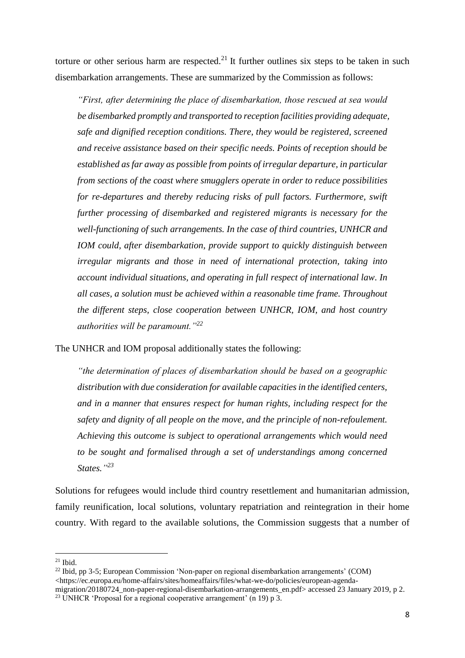torture or other serious harm are respected.<sup>21</sup> It further outlines six steps to be taken in such disembarkation arrangements. These are summarized by the Commission as follows:

*"First, after determining the place of disembarkation, those rescued at sea would be disembarked promptly and transported to reception facilities providing adequate, safe and dignified reception conditions. There, they would be registered, screened and receive assistance based on their specific needs. Points of reception should be established as far away as possible from points of irregular departure, in particular from sections of the coast where smugglers operate in order to reduce possibilities for re-departures and thereby reducing risks of pull factors. Furthermore, swift further processing of disembarked and registered migrants is necessary for the well-functioning of such arrangements. In the case of third countries, UNHCR and IOM could, after disembarkation, provide support to quickly distinguish between irregular migrants and those in need of international protection, taking into account individual situations, and operating in full respect of international law. In all cases, a solution must be achieved within a reasonable time frame. Throughout the different steps, close cooperation between UNHCR, IOM, and host country authorities will be paramount."<sup>22</sup>*

The UNHCR and IOM proposal additionally states the following:

*"the determination of places of disembarkation should be based on a geographic distribution with due consideration for available capacities in the identified centers, and in a manner that ensures respect for human rights, including respect for the safety and dignity of all people on the move, and the principle of non-refoulement. Achieving this outcome is subject to operational arrangements which would need to be sought and formalised through a set of understandings among concerned States." 23*

Solutions for refugees would include third country resettlement and humanitarian admission, family reunification, local solutions, voluntary repatriation and reintegration in their home country. With regard to the available solutions, the Commission suggests that a number of

 $21$  Ibid.

 $22$  Ibid, pp 3-5; European Commission 'Non-paper on regional disembarkation arrangements' (COM) <https://ec.europa.eu/home-affairs/sites/homeaffairs/files/what-we-do/policies/european-agenda-

migration/20180724\_non-paper-regional-disembarkation-arrangements\_en.pdf> accessed 23 January 2019, p 2. <sup>23</sup> UNHCR 'Proposal for a regional cooperative arrangement' (n 19) p 3.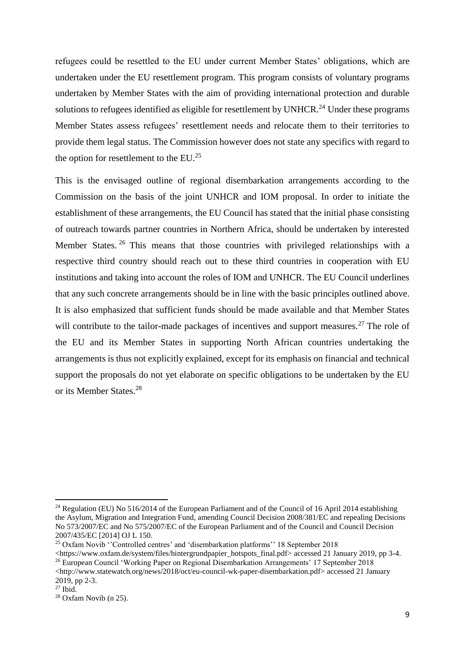refugees could be resettled to the EU under current Member States' obligations, which are undertaken under the EU resettlement program. This program consists of voluntary programs undertaken by Member States with the aim of providing international protection and durable solutions to refugees identified as eligible for resettlement by UNHCR.<sup>24</sup> Under these programs Member States assess refugees' resettlement needs and relocate them to their territories to provide them legal status. The Commission however does not state any specifics with regard to the option for resettlement to the EU.<sup>25</sup>

This is the envisaged outline of regional disembarkation arrangements according to the Commission on the basis of the joint UNHCR and IOM proposal. In order to initiate the establishment of these arrangements, the EU Council has stated that the initial phase consisting of outreach towards partner countries in Northern Africa, should be undertaken by interested Member States.<sup>26</sup> This means that those countries with privileged relationships with a respective third country should reach out to these third countries in cooperation with EU institutions and taking into account the roles of IOM and UNHCR. The EU Council underlines that any such concrete arrangements should be in line with the basic principles outlined above. It is also emphasized that sufficient funds should be made available and that Member States will contribute to the tailor-made packages of incentives and support measures.<sup>27</sup> The role of the EU and its Member States in supporting North African countries undertaking the arrangements is thus not explicitly explained, except for its emphasis on financial and technical support the proposals do not yet elaborate on specific obligations to be undertaken by the EU or its Member States.<sup>28</sup>

<sup>&</sup>lt;sup>24</sup> Regulation (EU) No 516/2014 of the European Parliament and of the Council of 16 April 2014 establishing the Asylum, Migration and Integration Fund, amending Council Decision 2008/381/EC and repealing Decisions No 573/2007/EC and No 575/2007/EC of the European Parliament and of the Council and Council Decision 2007/435/EC [2014] OJ L 150.

<sup>25</sup> Oxfam Novib ''Controlled centres' and 'disembarkation platforms'' 18 September 2018

 $\lt$ https://www.oxfam.de/system/files/hintergrundpapier\_hotspots\_final.pdf> accessed 21 January 2019, pp 3-4. <sup>26</sup> European Council 'Working Paper on Regional Disembarkation Arrangements' 17 September 2018 <http://www.statewatch.org/news/2018/oct/eu-council-wk-paper-disembarkation.pdf> accessed 21 January

<sup>2019,</sup> pp 2-3.

 $27$  Ibid.

<sup>28</sup> Oxfam Novib (n 25).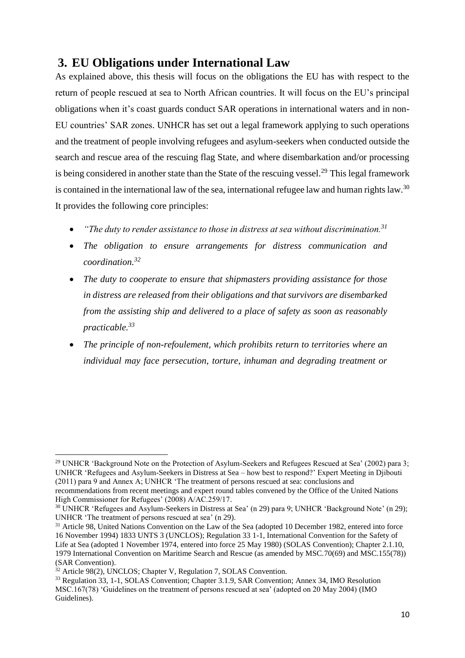# <span id="page-10-0"></span>**3. EU Obligations under International Law**

As explained above, this thesis will focus on the obligations the EU has with respect to the return of people rescued at sea to North African countries. It will focus on the EU's principal obligations when it's coast guards conduct SAR operations in international waters and in non-EU countries' SAR zones. UNHCR has set out a legal framework applying to such operations and the treatment of people involving refugees and asylum-seekers when conducted outside the search and rescue area of the rescuing flag State, and where disembarkation and/or processing is being considered in another state than the State of the rescuing vessel.<sup>29</sup> This legal framework is contained in the international law of the sea, international refugee law and human rights law.<sup>30</sup> It provides the following core principles:

- *"The duty to render assistance to those in distress at sea without discrimination.<sup>31</sup>*
- *The obligation to ensure arrangements for distress communication and coordination.<sup>32</sup>*
- *The duty to cooperate to ensure that shipmasters providing assistance for those in distress are released from their obligations and that survivors are disembarked from the assisting ship and delivered to a place of safety as soon as reasonably practicable.<sup>33</sup>*
- *The principle of non-refoulement, which prohibits return to territories where an individual may face persecution, torture, inhuman and degrading treatment or*

<sup>&</sup>lt;sup>29</sup> UNHCR 'Background Note on the Protection of Asylum-Seekers and Refugees Rescued at Sea' (2002) para 3; UNHCR 'Refugees and Asylum-Seekers in Distress at Sea – how best to respond?' Expert Meeting in Djibouti (2011) para 9 and Annex A; UNHCR 'The treatment of persons rescued at sea: conclusions and

recommendations from recent meetings and expert round tables convened by the Office of the United Nations High Commissioner for Refugees' (2008) A/AC.259/17.

<sup>30</sup> UNHCR 'Refugees and Asylum-Seekers in Distress at Sea' (n 29) para 9; UNHCR 'Background Note' (n 29); UNHCR 'The treatment of persons rescued at sea' (n 29).

<sup>&</sup>lt;sup>31</sup> Article 98, United Nations Convention on the Law of the Sea (adopted 10 December 1982, entered into force 16 November 1994) 1833 UNTS 3 (UNCLOS); Regulation 33 1-1, International Convention for the Safety of Life at Sea (adopted 1 November 1974, entered into force 25 May 1980) (SOLAS Convention); Chapter 2.1.10, 1979 International Convention on Maritime Search and Rescue (as amended by MSC.70(69) and MSC.155(78)) (SAR Convention).

<sup>&</sup>lt;sup>32</sup> Article 98(2), UNCLOS; Chapter V, Regulation 7, SOLAS Convention.

<sup>33</sup> Regulation 33, 1-1, SOLAS Convention; Chapter 3.1.9, SAR Convention; Annex 34, IMO Resolution MSC.167(78) 'Guidelines on the treatment of persons rescued at sea' (adopted on 20 May 2004) (IMO Guidelines).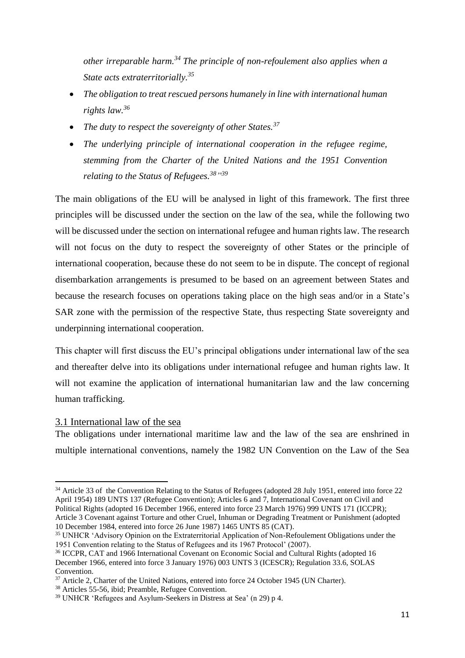*other irreparable harm.<sup>34</sup> The principle of non-refoulement also applies when a State acts extraterritorially.<sup>35</sup>*

- *The obligation to treat rescued persons humanely in line with international human rights law.<sup>36</sup>*
- *The duty to respect the sovereignty of other States.<sup>37</sup>*
- *The underlying principle of international cooperation in the refugee regime, stemming from the Charter of the United Nations and the 1951 Convention relating to the Status of Refugees.<sup>38</sup>" 39*

The main obligations of the EU will be analysed in light of this framework. The first three principles will be discussed under the section on the law of the sea, while the following two will be discussed under the section on international refugee and human rights law. The research will not focus on the duty to respect the sovereignty of other States or the principle of international cooperation, because these do not seem to be in dispute. The concept of regional disembarkation arrangements is presumed to be based on an agreement between States and because the research focuses on operations taking place on the high seas and/or in a State's SAR zone with the permission of the respective State, thus respecting State sovereignty and underpinning international cooperation.

This chapter will first discuss the EU's principal obligations under international law of the sea and thereafter delve into its obligations under international refugee and human rights law. It will not examine the application of international humanitarian law and the law concerning human trafficking.

### <span id="page-11-0"></span>3.1 International law of the sea

**.** 

The obligations under international maritime law and the law of the sea are enshrined in multiple international conventions, namely the 1982 UN Convention on the Law of the Sea

<sup>34</sup> Article 33 of the Convention Relating to the Status of Refugees (adopted 28 July 1951, entered into force 22 April 1954) 189 UNTS 137 (Refugee Convention); Articles 6 and 7, International Covenant on Civil and Political Rights (adopted 16 December 1966, entered into force 23 March 1976) 999 UNTS 171 (ICCPR); Article 3 Covenant against Torture and other Cruel, Inhuman or Degrading Treatment or Punishment (adopted 10 December 1984, entered into force 26 June 1987) 1465 UNTS 85 (CAT).

<sup>35</sup> UNHCR 'Advisory Opinion on the Extraterritorial Application of Non-Refoulement Obligations under the 1951 Convention relating to the Status of Refugees and its 1967 Protocol' (2007).

<sup>36</sup> ICCPR, CAT and 1966 International Covenant on Economic Social and Cultural Rights (adopted 16 December 1966, entered into force 3 January 1976) 003 UNTS 3 (ICESCR); Regulation 33.6, SOLAS Convention.

<sup>&</sup>lt;sup>37</sup> Article 2, Charter of the United Nations, entered into force 24 October 1945 (UN Charter).

<sup>38</sup> Articles 55-56, ibid; Preamble, Refugee Convention.

<sup>39</sup> UNHCR 'Refugees and Asylum-Seekers in Distress at Sea' (n 29) p 4.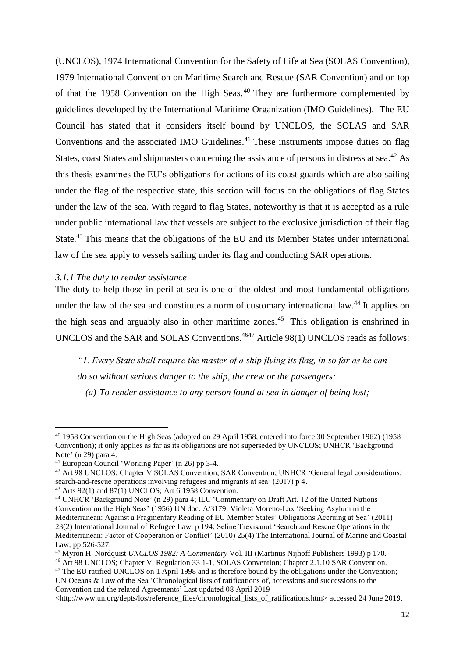(UNCLOS), 1974 International Convention for the Safety of Life at Sea (SOLAS Convention), 1979 International Convention on Maritime Search and Rescue (SAR Convention) and on top of that the 1958 Convention on the High Seas. <sup>40</sup> They are furthermore complemented by guidelines developed by the International Maritime Organization (IMO Guidelines). The EU Council has stated that it considers itself bound by UNCLOS, the SOLAS and SAR Conventions and the associated IMO Guidelines.<sup>41</sup> These instruments impose duties on flag States, coast States and shipmasters concerning the assistance of persons in distress at sea.<sup>42</sup> As this thesis examines the EU's obligations for actions of its coast guards which are also sailing under the flag of the respective state, this section will focus on the obligations of flag States under the law of the sea. With regard to flag States, noteworthy is that it is accepted as a rule under public international law that vessels are subject to the exclusive jurisdiction of their flag State.<sup>43</sup> This means that the obligations of the EU and its Member States under international law of the sea apply to vessels sailing under its flag and conducting SAR operations.

#### <span id="page-12-0"></span>*3.1.1 The duty to render assistance*

The duty to help those in peril at sea is one of the oldest and most fundamental obligations under the law of the sea and constitutes a norm of customary international law.<sup>44</sup> It applies on the high seas and arguably also in other maritime zones.<sup>45</sup> This obligation is enshrined in UNCLOS and the SAR and SOLAS Conventions.<sup>4647</sup> Article 98(1) UNCLOS reads as follows:

*"1. Every State shall require the master of a ship flying its flag, in so far as he can do so without serious danger to the ship, the crew or the passengers:*

*(a) To render assistance to any person found at sea in danger of being lost;*

<sup>40</sup> 1958 Convention on the High Seas (adopted on 29 April 1958, entered into force 30 September 1962) (1958 Convention); it only applies as far as its obligations are not superseded by UNCLOS; UNHCR 'Background Note' (n 29) para 4.

<sup>41</sup> European Council 'Working Paper' (n 26) pp 3-4.

<sup>&</sup>lt;sup>42</sup> Art 98 UNCLOS; Chapter V SOLAS Convention; SAR Convention; UNHCR 'General legal considerations: search-and-rescue operations involving refugees and migrants at sea' (2017) p 4.

 $43$  Arts 92(1) and 87(1) UNCLOS; Art 6 1958 Convention.

<sup>44</sup> UNHCR 'Background Note' (n 29) para 4; ILC 'Commentary on Draft Art. 12 of the United Nations Convention on the High Seas' (1956) UN doc. A/3179; Violeta Moreno-Lax 'Seeking Asylum in the Mediterranean: Against a Fragmentary Reading of EU Member States' Obligations Accruing at Sea' (2011) 23(2) International Journal of Refugee Law, p 194; Seline Trevisanut 'Search and Rescue Operations in the Mediterranean: Factor of Cooperation or Conflict' (2010) 25(4) The International Journal of Marine and Coastal Law, pp 526-527.

<sup>45</sup> Myron H. Nordquist *UNCLOS 1982: A Commentary* Vol. III (Martinus Nijhoff Publishers 1993) p 170.

<sup>46</sup> Art 98 UNCLOS; Chapter V, Regulation 33 1-1, SOLAS Convention; Chapter 2.1.10 SAR Convention. <sup>47</sup> The EU ratified UNCLOS on 1 April 1998 and is therefore bound by the obligations under the Convention;

UN Oceans & Law of the Sea 'Chronological lists of ratifications of, accessions and successions to the Convention and the related Agreements' Last updated 08 April 2019

<sup>&</sup>lt;http://www.un.org/depts/los/reference\_files/chronological\_lists\_of\_ratifications.htm> accessed 24 June 2019.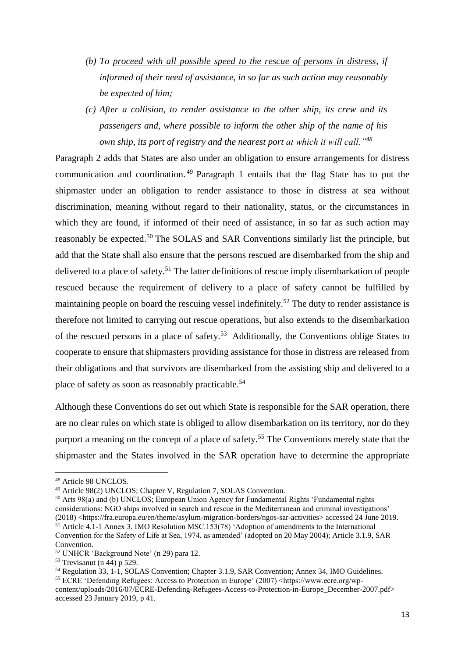- *(b) To proceed with all possible speed to the rescue of persons in distress, if informed of their need of assistance, in so far as such action may reasonably be expected of him;*
- *(c) After a collision, to render assistance to the other ship, its crew and its passengers and, where possible to inform the other ship of the name of his own ship, its port of registry and the nearest port at which it will call."<sup>48</sup>*

Paragraph 2 adds that States are also under an obligation to ensure arrangements for distress communication and coordination. <sup>49</sup> Paragraph 1 entails that the flag State has to put the shipmaster under an obligation to render assistance to those in distress at sea without discrimination, meaning without regard to their nationality, status, or the circumstances in which they are found, if informed of their need of assistance, in so far as such action may reasonably be expected.<sup>50</sup> The SOLAS and SAR Conventions similarly list the principle, but add that the State shall also ensure that the persons rescued are disembarked from the ship and delivered to a place of safety.<sup>51</sup> The latter definitions of rescue imply disembarkation of people rescued because the requirement of delivery to a place of safety cannot be fulfilled by maintaining people on board the rescuing vessel indefinitely.<sup>52</sup> The duty to render assistance is therefore not limited to carrying out rescue operations, but also extends to the disembarkation of the rescued persons in a place of safety.<sup>53</sup> Additionally, the Conventions oblige States to cooperate to ensure that shipmasters providing assistance for those in distress are released from their obligations and that survivors are disembarked from the assisting ship and delivered to a place of safety as soon as reasonably practicable.<sup>54</sup>

Although these Conventions do set out which State is responsible for the SAR operation, there are no clear rules on which state is obliged to allow disembarkation on its territory, nor do they purport a meaning on the concept of a place of safety.<sup>55</sup> The Conventions merely state that the shipmaster and the States involved in the SAR operation have to determine the appropriate

1

<sup>50</sup> Arts 98(a) and (b) UNCLOS; European Union Agency for Fundamental Rights 'Fundamental rights considerations: NGO ships involved in search and rescue in the Mediterranean and criminal investigations' (2018) <https://fra.europa.eu/en/theme/asylum-migration-borders/ngos-sar-activities> accessed 24 June 2019.  $51$  Article 4.1-1 Annex 3, IMO Resolution MSC.153(78) 'Adoption of amendments to the International Convention for the Safety of Life at Sea, 1974, as amended' (adopted on 20 May 2004); Article 3.1.9, SAR Convention.

<sup>54</sup> Regulation 33, 1-1, SOLAS Convention; Chapter 3.1.9, SAR Convention; Annex 34, IMO Guidelines. <sup>55</sup> ECRE 'Defending Refugees: Access to Protection in Europe' (2007) <https://www.ecre.org/wpcontent/uploads/2016/07/ECRE-Defending-Refugees-Access-to-Protection-in-Europe\_December-2007.pdf> accessed 23 January 2019, p 41.

<sup>48</sup> Article 98 UNCLOS.

<sup>49</sup> Article 98(2) UNCLOS; Chapter V, Regulation 7, SOLAS Convention.

<sup>52</sup> UNHCR 'Background Note' (n 29) para 12.

 $53$  Trevisanut (n 44) p 529.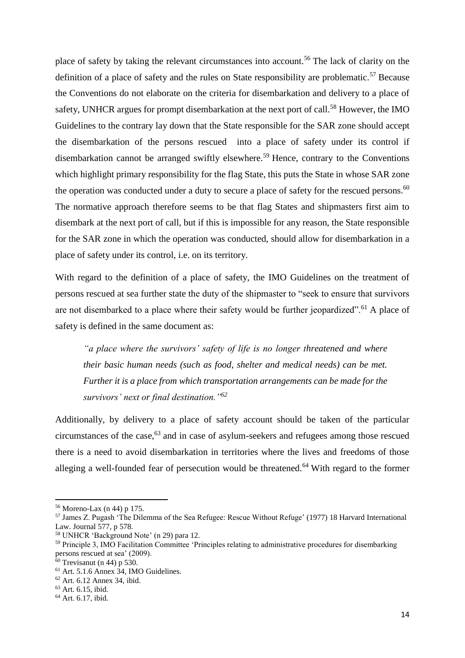place of safety by taking the relevant circumstances into account.<sup>56</sup> The lack of clarity on the definition of a place of safety and the rules on State responsibility are problematic.<sup>57</sup> Because the Conventions do not elaborate on the criteria for disembarkation and delivery to a place of safety, UNHCR argues for prompt disembarkation at the next port of call.<sup>58</sup> However, the IMO Guidelines to the contrary lay down that the State responsible for the SAR zone should accept the disembarkation of the persons rescued into a place of safety under its control if disembarkation cannot be arranged swiftly elsewhere.<sup>59</sup> Hence, contrary to the Conventions which highlight primary responsibility for the flag State, this puts the State in whose SAR zone the operation was conducted under a duty to secure a place of safety for the rescued persons.<sup>60</sup> The normative approach therefore seems to be that flag States and shipmasters first aim to disembark at the next port of call, but if this is impossible for any reason, the State responsible for the SAR zone in which the operation was conducted, should allow for disembarkation in a place of safety under its control, i.e. on its territory.

With regard to the definition of a place of safety, the IMO Guidelines on the treatment of persons rescued at sea further state the duty of the shipmaster to "seek to ensure that survivors are not disembarked to a place where their safety would be further jeopardized".<sup>61</sup> A place of safety is defined in the same document as:

*"a place where the survivors' safety of life is no longer threatened and where their basic human needs (such as food, shelter and medical needs) can be met. Further it is a place from which transportation arrangements can be made for the survivors' next or final destination."<sup>62</sup>*

Additionally, by delivery to a place of safety account should be taken of the particular circumstances of the case,<sup>63</sup> and in case of asylum-seekers and refugees among those rescued there is a need to avoid disembarkation in territories where the lives and freedoms of those alleging a well-founded fear of persecution would be threatened.<sup>64</sup> With regard to the former

<sup>56</sup> Moreno-Lax (n 44) p 175.

<sup>57</sup> James Z. Pugash 'The Dilemma of the Sea Refugee: Rescue Without Refuge' (1977) 18 Harvard International Law. Journal 577, p 578.

<sup>58</sup> UNHCR 'Background Note' (n 29) para 12.

<sup>59</sup> Principle 3, IMO Facilitation Committee 'Principles relating to administrative procedures for disembarking persons rescued at sea' (2009).

 $60$  Trevisanut (n 44) p 530.

<sup>61</sup> Art. 5.1.6 Annex 34, IMO Guidelines.

<sup>62</sup> Art. 6.12 Annex 34, ibid.

<sup>63</sup> Art. 6.15, ibid.

<sup>64</sup> Art. 6.17, ibid.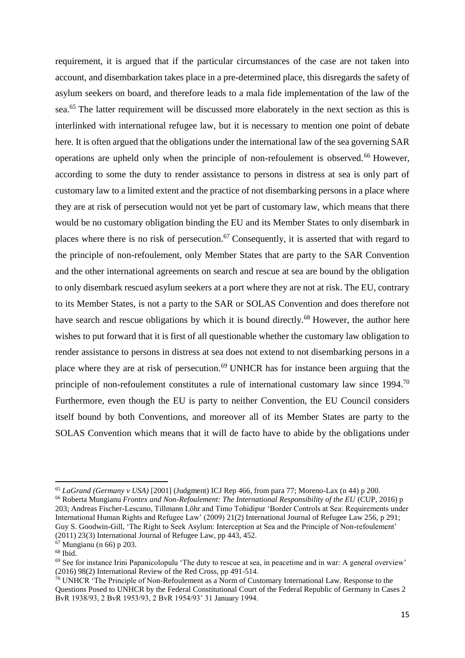requirement, it is argued that if the particular circumstances of the case are not taken into account, and disembarkation takes place in a pre-determined place, this disregards the safety of asylum seekers on board, and therefore leads to a mala fide implementation of the law of the sea.<sup>65</sup> The latter requirement will be discussed more elaborately in the next section as this is interlinked with international refugee law, but it is necessary to mention one point of debate here. It is often argued that the obligations under the international law of the sea governing SAR operations are upheld only when the principle of non-refoulement is observed.<sup>66</sup> However, according to some the duty to render assistance to persons in distress at sea is only part of customary law to a limited extent and the practice of not disembarking persons in a place where they are at risk of persecution would not yet be part of customary law, which means that there would be no customary obligation binding the EU and its Member States to only disembark in places where there is no risk of persecution.<sup>67</sup> Consequently, it is asserted that with regard to the principle of non-refoulement, only Member States that are party to the SAR Convention and the other international agreements on search and rescue at sea are bound by the obligation to only disembark rescued asylum seekers at a port where they are not at risk. The EU, contrary to its Member States, is not a party to the SAR or SOLAS Convention and does therefore not have search and rescue obligations by which it is bound directly.<sup>68</sup> However, the author here wishes to put forward that it is first of all questionable whether the customary law obligation to render assistance to persons in distress at sea does not extend to not disembarking persons in a place where they are at risk of persecution.<sup>69</sup> UNHCR has for instance been arguing that the principle of non-refoulement constitutes a rule of international customary law since 1994.<sup>70</sup> Furthermore, even though the EU is party to neither Convention, the EU Council considers itself bound by both Conventions, and moreover all of its Member States are party to the SOLAS Convention which means that it will de facto have to abide by the obligations under

<sup>65</sup> *LaGrand (Germany v USA)* [2001] (Judgment) ICJ Rep 466, from para 77; Moreno-Lax (n 44) p 200. <sup>66</sup> Roberta Mungianu *Frontex and Non-Refoulement: The International Responsibility of the EU* (CUP, 2016) p

<sup>203;</sup> Andreas Fischer-Lescano, Tillmann Löhr and Timo Tohidipur 'Border Controls at Sea: Requirements under International Human Rights and Refugee Law' (2009) 21(2) International Journal of Refugee Law 256, p 291; Guy S. Goodwin-Gill, 'The Right to Seek Asylum: Interception at Sea and the Principle of Non-refoulement' (2011) 23(3) International Journal of Refugee Law, pp 443, 452.

<sup>67</sup> Mungianu (n 66) p 203.

 $68$  Ibid.

 $69$  See for instance Irini Papanicolopulu 'The duty to rescue at sea, in peacetime and in war: A general overview' (2016) 98(2) International Review of the Red Cross, pp 491-514.

 $70$  UNHCR 'The Principle of Non-Refoulement as a Norm of Customary International Law. Response to the Questions Posed to UNHCR by the Federal Constitutional Court of the Federal Republic of Germany in Cases 2 BvR 1938/93, 2 BvR 1953/93, 2 BvR 1954/93' 31 January 1994.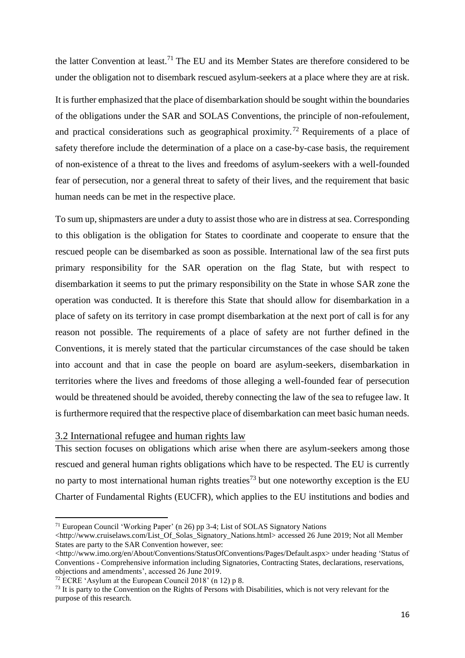the latter Convention at least.<sup>71</sup> The EU and its Member States are therefore considered to be under the obligation not to disembark rescued asylum-seekers at a place where they are at risk.

It is further emphasized that the place of disembarkation should be sought within the boundaries of the obligations under the SAR and SOLAS Conventions, the principle of non-refoulement, and practical considerations such as geographical proximity.<sup>72</sup> Requirements of a place of safety therefore include the determination of a place on a case-by-case basis, the requirement of non-existence of a threat to the lives and freedoms of asylum-seekers with a well-founded fear of persecution, nor a general threat to safety of their lives, and the requirement that basic human needs can be met in the respective place.

To sum up, shipmasters are under a duty to assist those who are in distress at sea. Corresponding to this obligation is the obligation for States to coordinate and cooperate to ensure that the rescued people can be disembarked as soon as possible. International law of the sea first puts primary responsibility for the SAR operation on the flag State, but with respect to disembarkation it seems to put the primary responsibility on the State in whose SAR zone the operation was conducted. It is therefore this State that should allow for disembarkation in a place of safety on its territory in case prompt disembarkation at the next port of call is for any reason not possible. The requirements of a place of safety are not further defined in the Conventions, it is merely stated that the particular circumstances of the case should be taken into account and that in case the people on board are asylum-seekers, disembarkation in territories where the lives and freedoms of those alleging a well-founded fear of persecution would be threatened should be avoided, thereby connecting the law of the sea to refugee law. It is furthermore required that the respective place of disembarkation can meet basic human needs.

## <span id="page-16-0"></span>3.2 International refugee and human rights law

This section focuses on obligations which arise when there are asylum-seekers among those rescued and general human rights obligations which have to be respected. The EU is currently no party to most international human rights treaties<sup>73</sup> but one noteworthy exception is the EU Charter of Fundamental Rights (EUCFR), which applies to the EU institutions and bodies and

<sup>71</sup> European Council 'Working Paper' (n 26) pp 3-4; List of SOLAS Signatory Nations

 $\lt$ http://www.cruiselaws.com/List\_Of\_Solas\_Signatory\_Nations.html> accessed 26 June 2019; Not all Member States are party to the SAR Convention however, see:

<sup>&</sup>lt;http://www.imo.org/en/About/Conventions/StatusOfConventions/Pages/Default.aspx> under heading 'Status of Conventions - Comprehensive information including Signatories, Contracting States, declarations, reservations, objections and amendments', accessed 26 June 2019.

<sup>&</sup>lt;sup>72</sup> ECRE 'Asylum at the European Council 2018' (n 12) p 8.

<sup>&</sup>lt;sup>73</sup> It is party to the Convention on the Rights of Persons with Disabilities, which is not very relevant for the purpose of this research.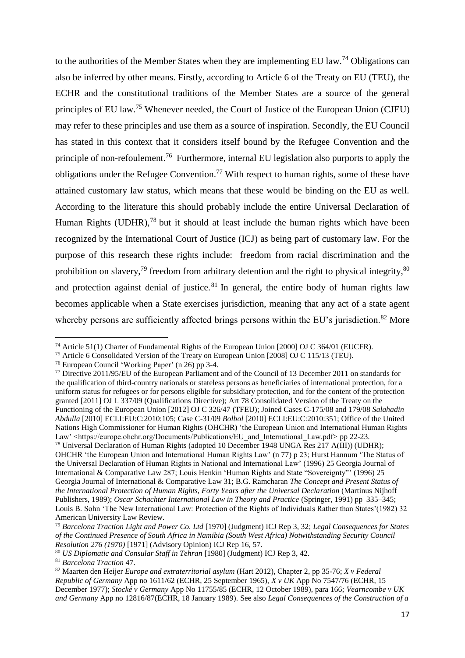to the authorities of the Member States when they are implementing EU law.<sup>74</sup> Obligations can also be inferred by other means. Firstly, according to Article 6 of the Treaty on EU (TEU), the ECHR and the constitutional traditions of the Member States are a source of the general principles of EU law.<sup>75</sup> Whenever needed, the Court of Justice of the European Union (CJEU) may refer to these principles and use them as a source of inspiration. Secondly, the EU Council has stated in this context that it considers itself bound by the Refugee Convention and the principle of non-refoulement.<sup>76</sup> Furthermore, internal EU legislation also purports to apply the obligations under the Refugee Convention.<sup>77</sup> With respect to human rights, some of these have attained customary law status, which means that these would be binding on the EU as well. According to the literature this should probably include the entire Universal Declaration of Human Rights (UDHR), $78$  but it should at least include the human rights which have been recognized by the International Court of Justice (ICJ) as being part of customary law. For the purpose of this research these rights include: freedom from racial discrimination and the prohibition on slavery,<sup>79</sup> freedom from arbitrary detention and the right to physical integrity,<sup>80</sup> and protection against denial of justice.<sup>81</sup> In general, the entire body of human rights law becomes applicable when a State exercises jurisdiction, meaning that any act of a state agent whereby persons are sufficiently affected brings persons within the EU's jurisdiction.<sup>82</sup> More

<sup>74</sup> Article 51(1) Charter of Fundamental Rights of the European Union [2000] OJ C 364/01 (EUCFR).

<sup>75</sup> Article 6 Consolidated Version of the Treaty on European Union [2008] OJ C 115/13 (TEU).

<sup>76</sup> European Council 'Working Paper' (n 26) pp 3-4.

<sup>77</sup> Directive 2011/95/EU of the European Parliament and of the Council of 13 December 2011 on standards for the qualification of third-country nationals or stateless persons as beneficiaries of international protection, for a uniform status for refugees or for persons eligible for subsidiary protection, and for the content of the protection granted [2011] OJ L 337/09 (Qualifications Directive); Art 78 Consolidated Version of the Treaty on the Functioning of the European Union [2012] OJ C 326/47 (TFEU); Joined Cases C-175/08 and 179/08 *Salahadin Abdulla* [2010] ECLI:EU:C:2010:105; Case C-31/09 *Bolbol* [2010] ECLI:EU:C:2010:351; Office of the United Nations High Commissioner for Human Rights (OHCHR) 'the European Union and International Human Rights Law' <https://europe.ohchr.org/Documents/Publications/EU and International Law.pdf> pp 22-23. <sup>78</sup> Universal Declaration of Human Rights (adopted 10 December 1948 UNGA Res 217 A(III)) (UDHR);

OHCHR 'the European Union and International Human Rights Law' (n 77) p 23; Hurst Hannum 'The Status of the Universal Declaration of Human Rights in National and International Law' (1996) 25 Georgia Journal of International & Comparative Law 287; Louis Henkin 'Human Rights and State "Sovereignty"' (1996) 25 Georgia Journal of International & Comparative Law 31; B.G. Ramcharan *The Concept and Present Status of the International Protection of Human Rights, Forty Years after the Universal Declaration* (Martinus Nijhoff Publishers, 1989); *Oscar Schachter International Law in Theory and Practice* (Springer, 1991) pp 335–345; Louis B. Sohn 'The New International Law: Protection of the Rights of Individuals Rather than States'(1982) 32 American University Law Review.

<sup>79</sup> *Barcelona Traction Light and Power Co. Ltd* [1970] (Judgment) ICJ Rep 3, 32; *Legal Consequences for States of the Continued Presence of South Africa in Namibia (South West Africa) Notwithstanding Security Council Resolution 276 (1970)* [1971] (Advisory Opinion) ICJ Rep 16, 57.

<sup>80</sup> *US Diplomatic and Consular Staff in Tehran* [1980] (Judgment) ICJ Rep 3, 42.

<sup>81</sup> *Barcelona Traction* 47.

<sup>82</sup> Maarten den Heijer *Europe and extraterritorial asylum* (Hart 2012), Chapter 2, pp 35-76; *X v Federal Republic of Germany* App no 1611/62 (ECHR, 25 September 1965), *X v UK* App No 7547/76 (ECHR, 15 December 1977); *Stocké v Germany* App No 11755/85 (ECHR, 12 October 1989), para 166; *Vearncombe v UK and Germany* App no 12816/87(ECHR, 18 January 1989). See also *Legal Consequences of the Construction of a*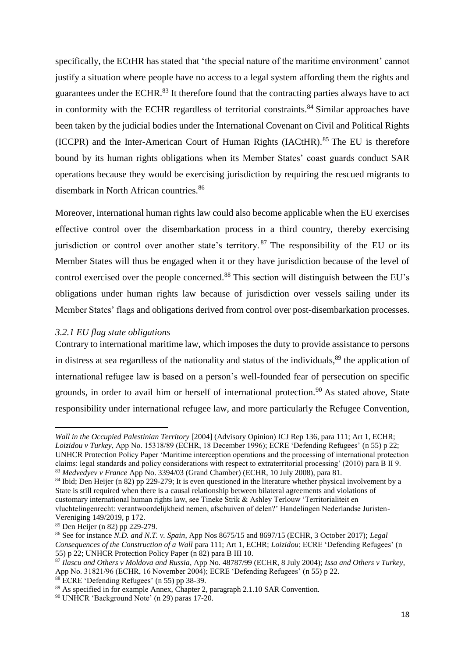specifically, the ECtHR has stated that 'the special nature of the maritime environment' cannot justify a situation where people have no access to a legal system affording them the rights and guarantees under the ECHR.<sup>83</sup> It therefore found that the contracting parties always have to act in conformity with the ECHR regardless of territorial constraints.<sup>84</sup> Similar approaches have been taken by the judicial bodies under the International Covenant on Civil and Political Rights (ICCPR) and the Inter-American Court of Human Rights (IACtHR). <sup>85</sup> The EU is therefore bound by its human rights obligations when its Member States' coast guards conduct SAR operations because they would be exercising jurisdiction by requiring the rescued migrants to disembark in North African countries.<sup>86</sup>

Moreover, international human rights law could also become applicable when the EU exercises effective control over the disembarkation process in a third country, thereby exercising jurisdiction or control over another state's territory.<sup>87</sup> The responsibility of the EU or its Member States will thus be engaged when it or they have jurisdiction because of the level of control exercised over the people concerned.<sup>88</sup> This section will distinguish between the EU's obligations under human rights law because of jurisdiction over vessels sailing under its Member States' flags and obligations derived from control over post-disembarkation processes.

#### <span id="page-18-0"></span>*3.2.1 EU flag state obligations*

Contrary to international maritime law, which imposes the duty to provide assistance to persons in distress at sea regardless of the nationality and status of the individuals,<sup>89</sup> the application of international refugee law is based on a person's well-founded fear of persecution on specific grounds, in order to avail him or herself of international protection.<sup>90</sup> As stated above, State responsibility under international refugee law, and more particularly the Refugee Convention,

*Wall in the Occupied Palestinian Territory* [2004] (Advisory Opinion) ICJ Rep 136, para 111; Art 1, ECHR; *Loizidou v Turkey*, App No. 15318/89 (ECHR, 18 December 1996); ECRE 'Defending Refugees' (n 55) p 22; UNHCR Protection Policy Paper 'Maritime interception operations and the processing of international protection claims: legal standards and policy considerations with respect to extraterritorial processing' (2010) para B II 9. <sup>83</sup> *Medvedyev v France* App No. 3394/03 (Grand Chamber) (ECHR, 10 July 2008), para 81.

<sup>84</sup> Ibid; Den Heijer (n 82) pp 229-279; It is even questioned in the literature whether physical involvement by a State is still required when there is a causal relationship between bilateral agreements and violations of customary international human rights law, see Tineke Strik & Ashley Terlouw 'Territorialiteit en vluchtelingenrecht: verantwoordelijkheid nemen, afschuiven of delen?' Handelingen Nederlandse Juristen-

Vereniging 149/2019, p 172. <sup>85</sup> Den Heijer (n 82) pp 229-279.

<sup>86</sup> See for instance *N.D. and N.T. v. Spain*, App Nos 8675/15 and 8697/15 (ECHR, 3 October 2017); *Legal Consequences of the Construction of a Wall* para 111; Art 1, ECHR; *Loizidou*; ECRE 'Defending Refugees' (n 55) p 22; UNHCR Protection Policy Paper (n 82) para B III 10.

<sup>87</sup> *Ilascu and Others v Moldova and Russia*, App No. 48787/99 (ECHR, 8 July 2004); *Issa and Others v Turkey*, App No. 31821/96 (ECHR, 16 November 2004); ECRE 'Defending Refugees' (n 55) p 22. <sup>88</sup> ECRE 'Defending Refugees' (n 55) pp 38-39.

<sup>89</sup> As specified in for example Annex, Chapter 2, paragraph 2.1.10 SAR Convention.

<sup>90</sup> UNHCR 'Background Note' (n 29) paras 17-20.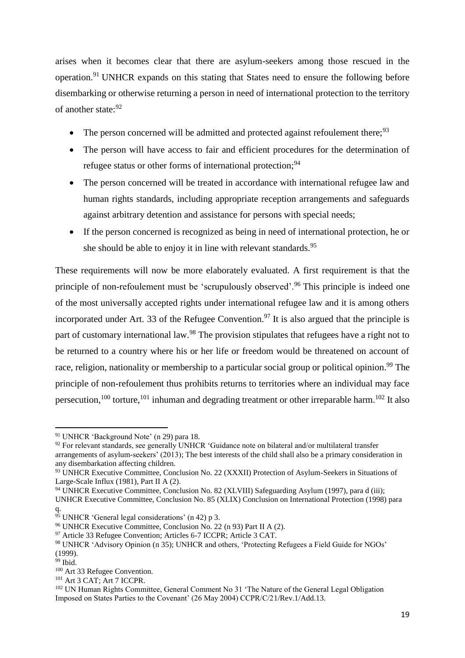arises when it becomes clear that there are asylum-seekers among those rescued in the operation.<sup>91</sup> UNHCR expands on this stating that States need to ensure the following before disembarking or otherwise returning a person in need of international protection to the territory of another state:<sup>92</sup>

- The person concerned will be admitted and protected against refoulement there;  $93$
- The person will have access to fair and efficient procedures for the determination of refugee status or other forms of international protection;<sup>94</sup>
- The person concerned will be treated in accordance with international refugee law and human rights standards, including appropriate reception arrangements and safeguards against arbitrary detention and assistance for persons with special needs;
- If the person concerned is recognized as being in need of international protection, he or she should be able to enjoy it in line with relevant standards.<sup>95</sup>

These requirements will now be more elaborately evaluated. A first requirement is that the principle of non-refoulement must be 'scrupulously observed'.<sup>96</sup> This principle is indeed one of the most universally accepted rights under international refugee law and it is among others incorporated under Art. 33 of the Refugee Convention.<sup>97</sup> It is also argued that the principle is part of customary international law.<sup>98</sup> The provision stipulates that refugees have a right not to be returned to a country where his or her life or freedom would be threatened on account of race, religion, nationality or membership to a particular social group or political opinion.<sup>99</sup> The principle of non-refoulement thus prohibits returns to territories where an individual may face persecution,<sup>100</sup> torture,<sup>101</sup> inhuman and degrading treatment or other irreparable harm.<sup>102</sup> It also

**.** 

<sup>101</sup> Art 3 CAT; Art 7 ICCPR.

<sup>91</sup> UNHCR 'Background Note' (n 29) para 18.

 $92$  For relevant standards, see generally UNHCR 'Guidance note on bilateral and/or multilateral transfer arrangements of asylum-seekers' (2013); The best interests of the child shall also be a primary consideration in any disembarkation affecting children.

<sup>93</sup> UNHCR Executive Committee, Conclusion No. 22 (XXXII) Protection of Asylum-Seekers in Situations of Large-Scale Influx (1981), Part II A (2).

<sup>94</sup> UNHCR Executive Committee, Conclusion No. 82 (XLVIII) Safeguarding Asylum (1997), para d (iii); UNHCR Executive Committee, Conclusion No. 85 (XLIX) Conclusion on International Protection (1998) para q.

<sup>&</sup>lt;sup>95</sup> UNHCR 'General legal considerations' (n 42) p 3.

<sup>96</sup> UNHCR Executive Committee, Conclusion No. 22 (n 93) Part II A (2).

<sup>97</sup> Article 33 Refugee Convention; Articles 6-7 ICCPR; Article 3 CAT.

<sup>98</sup> UNHCR 'Advisory Opinion (n 35); UNHCR and others, 'Protecting Refugees a Field Guide for NGOs' (1999).

 $99$  Ibid.

<sup>100</sup> Art 33 Refugee Convention.

<sup>102</sup> UN Human Rights Committee, General Comment No 31 'The Nature of the General Legal Obligation Imposed on States Parties to the Covenant' (26 May 2004) CCPR/C/21/Rev.1/Add.13.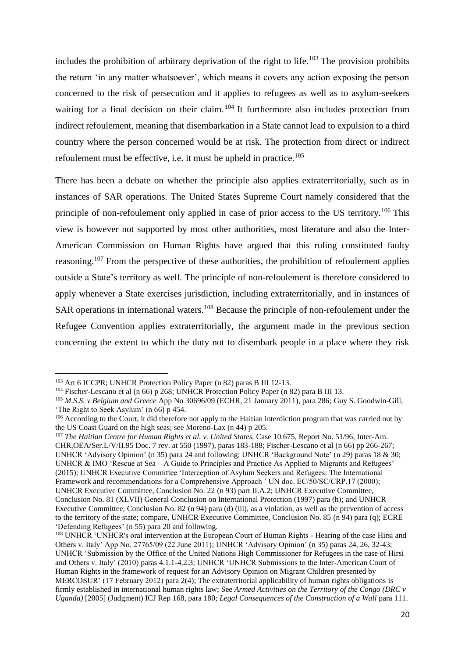includes the prohibition of arbitrary deprivation of the right to life.<sup>103</sup> The provision prohibits the return 'in any matter whatsoever', which means it covers any action exposing the person concerned to the risk of persecution and it applies to refugees as well as to asylum-seekers waiting for a final decision on their claim.<sup>104</sup> It furthermore also includes protection from indirect refoulement, meaning that disembarkation in a State cannot lead to expulsion to a third country where the person concerned would be at risk. The protection from direct or indirect refoulement must be effective, i.e. it must be upheld in practice.<sup>105</sup>

There has been a debate on whether the principle also applies extraterritorially, such as in instances of SAR operations. The United States Supreme Court namely considered that the principle of non-refoulement only applied in case of prior access to the US territory.<sup>106</sup> This view is however not supported by most other authorities, most literature and also the Inter-American Commission on Human Rights have argued that this ruling constituted faulty reasoning.<sup>107</sup> From the perspective of these authorities, the prohibition of refoulement applies outside a State's territory as well. The principle of non-refoulement is therefore considered to apply whenever a State exercises jurisdiction, including extraterritorially, and in instances of SAR operations in international waters.<sup>108</sup> Because the principle of non-refoulement under the Refugee Convention applies extraterritorially, the argument made in the previous section concerning the extent to which the duty not to disembark people in a place where they risk

<sup>103</sup> Art 6 ICCPR; UNHCR Protection Policy Paper (n 82) paras B III 12-13.

<sup>&</sup>lt;sup>104</sup> Fischer-Lescano et al (n 66) p 268; UNHCR Protection Policy Paper (n 82) para B III 13.

<sup>105</sup> *M.S.S. v Belgium and Greece* App No 30696/09 (ECHR, 21 January 2011), para 286; Guy S. Goodwin-Gill, 'The Right to Seek Asylum' (n 66) p 454.

<sup>&</sup>lt;sup>106</sup> According to the Court, it did therefore not apply to the Haitian interdiction program that was carried out by the US Coast Guard on the high seas; see Moreno-Lax (n 44) p 205.

<sup>107</sup> *The Haitian Centre for Human Rights et al. v. United States,* Case 10.675, Report No. 51/96, Inter-Am. CHR,OEA/Ser.L/V/II.95 Doc. 7 rev. at 550 (1997), paras 183-188; Fischer-Lescano et al (n 66) pp 266-267; UNHCR 'Advisory Opinion' (n 35) para 24 and following; UNHCR 'Background Note' (n 29) paras 18 & 30; UNHCR & IMO 'Rescue at Sea – A Guide to Principles and Practice As Applied to Migrants and Refugees' (2015); UNHCR Executive Committee 'Interception of Asylum Seekers and Refugees: The International Framework and recommendations for a Comprehensive Approach ' UN doc. EC/50/SC/CRP.17 (2000); UNHCR Executive Committee, Conclusion No. 22 (n 93) part II.A.2; UNHCR Executive Committee, Conclusion No. 81 (XLVII) General Conclusion on International Protection (1997) para (h); and UNHCR Executive Committee, Conclusion No. 82 (n 94) para (d) (iii), as a violation, as well as the prevention of access to the territory of the state; compare, UNHCR Executive Committee, Conclusion No. 85 (n 94) para (q); ECRE 'Defending Refugees' (n 55) para 20 and following.

<sup>108</sup> UNHCR 'UNHCR's oral intervention at the European Court of Human Rights - Hearing of the case Hirsi and Others v. Italy' App No. 27765/09 (22 June 2011); UNHCR 'Advisory Opinion' (n 35) paras 24, 26, 32-43; UNHCR 'Submission by the Office of the United Nations High Commissioner for Refugees in the case of Hirsi and Others v. Italy' (2010) paras 4.1.1-4.2.3; UNHCR 'UNHCR Submissions to the Inter-American Court of Human Rights in the framework of request for an Advisory Opinion on Migrant Children presented by MERCOSUR' (17 February 2012) para 2(4); The extraterritorial applicability of human rights obligations is firmly established in international human rights law; See *Armed Activities on the Territory of the Congo (DRC v Uganda*) [2005] (Judgment) ICJ Rep 168, para 180; *Legal Consequences of the Construction of a Wall* para 111.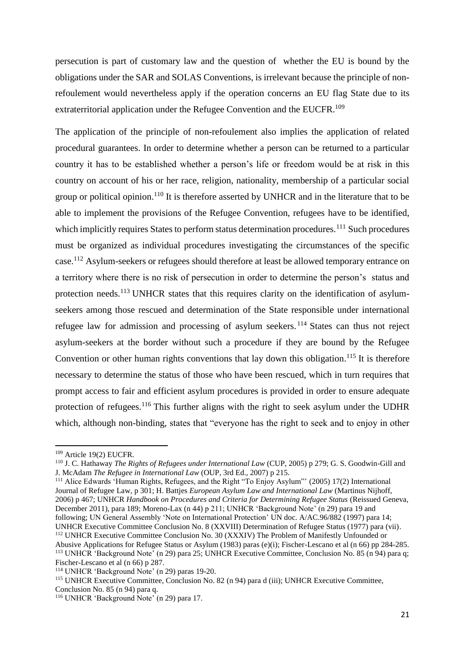persecution is part of customary law and the question of whether the EU is bound by the obligations under the SAR and SOLAS Conventions, is irrelevant because the principle of nonrefoulement would nevertheless apply if the operation concerns an EU flag State due to its extraterritorial application under the Refugee Convention and the EUCFR.<sup>109</sup>

The application of the principle of non-refoulement also implies the application of related procedural guarantees. In order to determine whether a person can be returned to a particular country it has to be established whether a person's life or freedom would be at risk in this country on account of his or her race, religion, nationality, membership of a particular social group or political opinion.<sup>110</sup> It is therefore asserted by UNHCR and in the literature that to be able to implement the provisions of the Refugee Convention, refugees have to be identified, which implicitly requires States to perform status determination procedures.<sup>111</sup> Such procedures must be organized as individual procedures investigating the circumstances of the specific case.<sup>112</sup> Asylum-seekers or refugees should therefore at least be allowed temporary entrance on a territory where there is no risk of persecution in order to determine the person's status and protection needs.<sup>113</sup> UNHCR states that this requires clarity on the identification of asylumseekers among those rescued and determination of the State responsible under international refugee law for admission and processing of asylum seekers. <sup>114</sup> States can thus not reject asylum-seekers at the border without such a procedure if they are bound by the Refugee Convention or other human rights conventions that lay down this obligation.<sup>115</sup> It is therefore necessary to determine the status of those who have been rescued, which in turn requires that prompt access to fair and efficient asylum procedures is provided in order to ensure adequate protection of refugees.<sup>116</sup> This further aligns with the right to seek asylum under the UDHR which, although non-binding, states that "everyone has the right to seek and to enjoy in other

<sup>109</sup> Article 19(2) EUCFR.

<sup>110</sup> J. C. Hathaway *The Rights of Refugees under International Law* (CUP, 2005) p 279; G. S. Goodwin-Gill and J. McAdam *The Refugee in International Law* (OUP, 3rd Ed., 2007) p 215.

<sup>111</sup> Alice Edwards 'Human Rights, Refugees, and the Right "To Enjoy Asylum"' (2005) 17(2) International Journal of Refugee Law, p 301; H. Battjes *European Asylum Law and International Law* (Martinus Nijhoff, 2006) p 467; UNHCR *Handbook on Procedures and Criteria for Determining Refugee Status* (Reissued Geneva, December 2011), para 189; Moreno-Lax (n 44) p 211; UNHCR 'Background Note' (n 29) para 19 and following; UN General Assembly 'Note on International Protection' UN doc. A/AC.96/882 (1997) para 14; UNHCR Executive Committee Conclusion No. 8 (XXVIII) Determination of Refugee Status (1977) para (vii). <sup>112</sup> UNHCR Executive Committee Conclusion No. 30 (XXXIV) The Problem of Manifestly Unfounded or

Abusive Applications for Refugee Status or Asylum (1983) paras (e)(i); Fischer-Lescano et al (n 66) pp 284-285. <sup>113</sup> UNHCR 'Background Note' (n 29) para 25; UNHCR Executive Committee, Conclusion No. 85 (n 94) para q; Fischer-Lescano et al (n 66) p 287.

<sup>114</sup> UNHCR 'Background Note' (n 29) paras 19-20.

<sup>115</sup> UNHCR Executive Committee, Conclusion No. 82 (n 94) para d (iii); UNHCR Executive Committee, Conclusion No. 85 (n 94) para q.

<sup>116</sup> UNHCR 'Background Note' (n 29) para 17.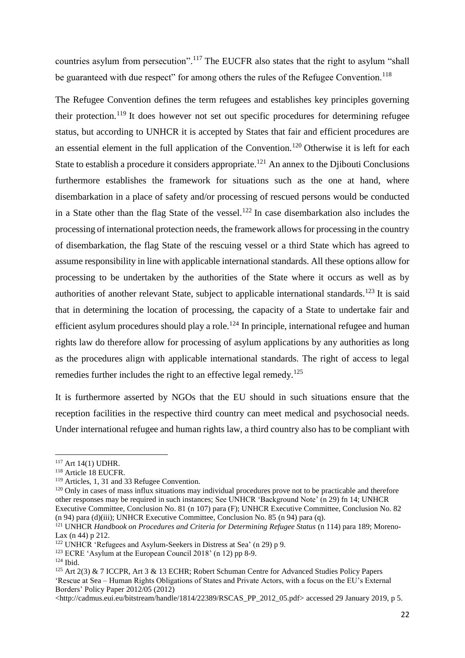countries asylum from persecution".<sup>117</sup> The EUCFR also states that the right to asylum "shall be guaranteed with due respect" for among others the rules of the Refugee Convention.<sup>118</sup>

The Refugee Convention defines the term refugees and establishes key principles governing their protection.<sup>119</sup> It does however not set out specific procedures for determining refugee status, but according to UNHCR it is accepted by States that fair and efficient procedures are an essential element in the full application of the Convention.<sup>120</sup> Otherwise it is left for each State to establish a procedure it considers appropriate.<sup>121</sup> An annex to the Djibouti Conclusions furthermore establishes the framework for situations such as the one at hand, where disembarkation in a place of safety and/or processing of rescued persons would be conducted in a State other than the flag State of the vessel.<sup>122</sup> In case disembarkation also includes the processing of international protection needs, the framework allows for processing in the country of disembarkation, the flag State of the rescuing vessel or a third State which has agreed to assume responsibility in line with applicable international standards. All these options allow for processing to be undertaken by the authorities of the State where it occurs as well as by authorities of another relevant State, subject to applicable international standards.<sup>123</sup> It is said that in determining the location of processing, the capacity of a State to undertake fair and efficient asylum procedures should play a role.<sup>124</sup> In principle, international refugee and human rights law do therefore allow for processing of asylum applications by any authorities as long as the procedures align with applicable international standards. The right of access to legal remedies further includes the right to an effective legal remedy.<sup>125</sup>

It is furthermore asserted by NGOs that the EU should in such situations ensure that the reception facilities in the respective third country can meet medical and psychosocial needs. Under international refugee and human rights law, a third country also has to be compliant with

<sup>117</sup> Art 14(1) UDHR.

<sup>118</sup> Article 18 EUCFR.

<sup>119</sup> Articles, 1, 31 and 33 Refugee Convention.

<sup>&</sup>lt;sup>120</sup> Only in cases of mass influx situations may individual procedures prove not to be practicable and therefore other responses may be required in such instances; See UNHCR 'Background Note' (n 29) fn 14; UNHCR Executive Committee, Conclusion No. 81 (n 107) para (F); UNHCR Executive Committee, Conclusion No. 82 (n 94) para (d)(iii); UNHCR Executive Committee, Conclusion No. 85 (n 94) para (q).

<sup>121</sup> UNHCR *Handbook on Procedures and Criteria for Determining Refugee Status* (n 114) para 189; Moreno-Lax (n 44) p 212.

<sup>122</sup> UNHCR 'Refugees and Asylum-Seekers in Distress at Sea' (n 29) p 9.

<sup>123</sup> ECRE 'Asylum at the European Council 2018' (n 12) pp 8-9.

 $124$  Ibid.

<sup>125</sup> Art 2(3) & 7 ICCPR, Art 3 & 13 ECHR; Robert Schuman Centre for Advanced Studies Policy Papers 'Rescue at Sea – Human Rights Obligations of States and Private Actors, with a focus on the EU's External Borders' Policy Paper 2012/05 (2012)

<sup>&</sup>lt;http://cadmus.eui.eu/bitstream/handle/1814/22389/RSCAS\_PP\_2012\_05.pdf> accessed 29 January 2019, p 5.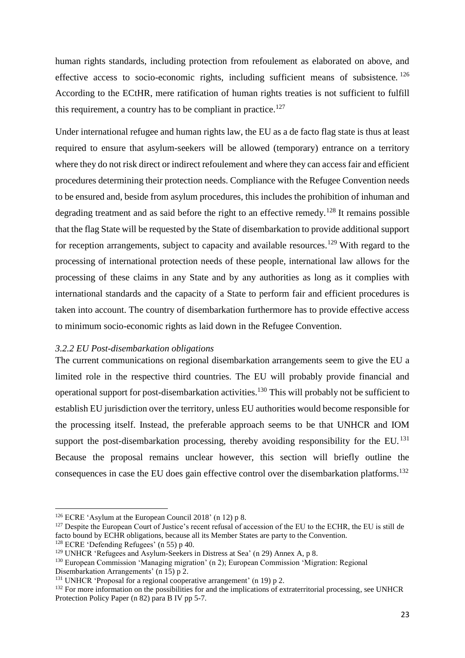human rights standards, including protection from refoulement as elaborated on above, and effective access to socio-economic rights, including sufficient means of subsistence.<sup>126</sup> According to the ECtHR, mere ratification of human rights treaties is not sufficient to fulfill this requirement, a country has to be compliant in practice.<sup>127</sup>

Under international refugee and human rights law, the EU as a de facto flag state is thus at least required to ensure that asylum-seekers will be allowed (temporary) entrance on a territory where they do not risk direct or indirect refoulement and where they can access fair and efficient procedures determining their protection needs. Compliance with the Refugee Convention needs to be ensured and, beside from asylum procedures, this includes the prohibition of inhuman and degrading treatment and as said before the right to an effective remedy.<sup>128</sup> It remains possible that the flag State will be requested by the State of disembarkation to provide additional support for reception arrangements, subject to capacity and available resources.<sup>129</sup> With regard to the processing of international protection needs of these people, international law allows for the processing of these claims in any State and by any authorities as long as it complies with international standards and the capacity of a State to perform fair and efficient procedures is taken into account. The country of disembarkation furthermore has to provide effective access to minimum socio-economic rights as laid down in the Refugee Convention.

#### <span id="page-23-0"></span>*3.2.2 EU Post-disembarkation obligations*

The current communications on regional disembarkation arrangements seem to give the EU a limited role in the respective third countries. The EU will probably provide financial and operational support for post-disembarkation activities.<sup>130</sup> This will probably not be sufficient to establish EU jurisdiction over the territory, unless EU authorities would become responsible for the processing itself. Instead, the preferable approach seems to be that UNHCR and IOM support the post-disembarkation processing, thereby avoiding responsibility for the EU.<sup>131</sup> Because the proposal remains unclear however, this section will briefly outline the consequences in case the EU does gain effective control over the disembarkation platforms.<sup>132</sup>

<sup>&</sup>lt;sup>126</sup> ECRE 'Asylum at the European Council 2018' (n 12) p 8.

<sup>&</sup>lt;sup>127</sup> Despite the European Court of Justice's recent refusal of accession of the EU to the ECHR, the EU is still de facto bound by ECHR obligations, because all its Member States are party to the Convention.

<sup>128</sup> ECRE 'Defending Refugees' (n 55) p 40.

<sup>129</sup> UNHCR 'Refugees and Asylum-Seekers in Distress at Sea' (n 29) Annex A, p 8.

<sup>130</sup> European Commission 'Managing migration' (n 2); European Commission 'Migration: Regional Disembarkation Arrangements' (n 15) p 2.

<sup>&</sup>lt;sup>131</sup> UNHCR 'Proposal for a regional cooperative arrangement' (n 19) p 2.

<sup>&</sup>lt;sup>132</sup> For more information on the possibilities for and the implications of extraterritorial processing, see UNHCR Protection Policy Paper (n 82) para B IV pp 5-7.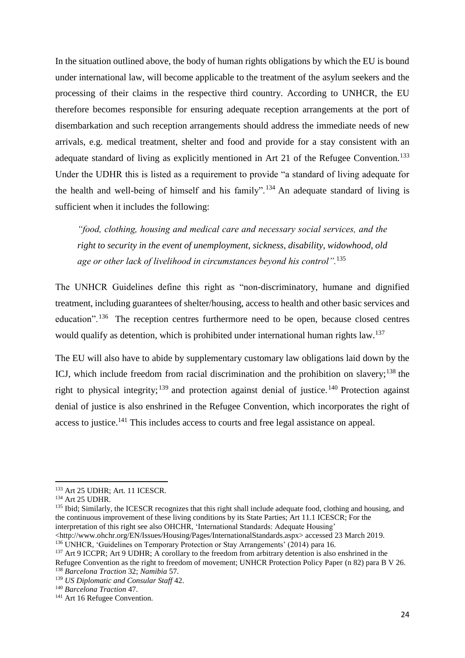In the situation outlined above, the body of human rights obligations by which the EU is bound under international law, will become applicable to the treatment of the asylum seekers and the processing of their claims in the respective third country. According to UNHCR, the EU therefore becomes responsible for ensuring adequate reception arrangements at the port of disembarkation and such reception arrangements should address the immediate needs of new arrivals, e.g. medical treatment, shelter and food and provide for a stay consistent with an adequate standard of living as explicitly mentioned in Art 21 of the Refugee Convention.<sup>133</sup> Under the UDHR this is listed as a requirement to provide "a standard of living adequate for the health and well-being of himself and his family".<sup>134</sup> An adequate standard of living is sufficient when it includes the following:

*"food, clothing, housing and medical care and necessary social services, and the right to security in the event of unemployment, sickness, disability, widowhood, old age or other lack of livelihood in circumstances beyond his control".*<sup>135</sup>

The UNHCR Guidelines define this right as "non-discriminatory, humane and dignified treatment, including guarantees of shelter/housing, access to health and other basic services and education".<sup>136</sup> The reception centres furthermore need to be open, because closed centres would qualify as detention, which is prohibited under international human rights law.<sup>137</sup>

The EU will also have to abide by supplementary customary law obligations laid down by the ICJ, which include freedom from racial discrimination and the prohibition on slavery; $^{138}$  the right to physical integrity;  $^{139}$  and protection against denial of justice.<sup>140</sup> Protection against denial of justice is also enshrined in the Refugee Convention, which incorporates the right of access to justice.<sup>141</sup> This includes access to courts and free legal assistance on appeal.

<sup>133</sup> Art 25 UDHR; Art. 11 ICESCR.

<sup>134</sup> Art 25 UDHR.

<sup>&</sup>lt;sup>135</sup> Ibid; Similarly, the ICESCR recognizes that this right shall include adequate food, clothing and housing, and the continuous improvement of these living conditions by its State Parties; Art 11.1 ICESCR; For the interpretation of this right see also OHCHR, 'International Standards: Adequate Housing'

<sup>&</sup>lt;http://www.ohchr.org/EN/Issues/Housing/Pages/InternationalStandards.aspx> accessed 23 March 2019.

<sup>136</sup> UNHCR, 'Guidelines on Temporary Protection or Stay Arrangements' (2014) para 16.

<sup>&</sup>lt;sup>137</sup> Art 9 ICCPR; Art 9 UDHR; A corollary to the freedom from arbitrary detention is also enshrined in the Refugee Convention as the right to freedom of movement; UNHCR Protection Policy Paper (n 82) para B V 26. <sup>138</sup> *Barcelona Traction* 32; *Namibia* 57.

<sup>139</sup> *US Diplomatic and Consular Staff* 42.

<sup>140</sup> *Barcelona Traction* 47.

<sup>&</sup>lt;sup>141</sup> Art 16 Refugee Convention.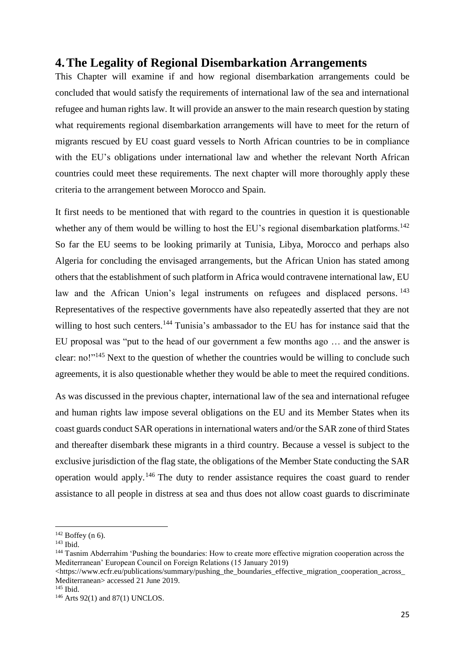# <span id="page-25-0"></span>**4.The Legality of Regional Disembarkation Arrangements**

This Chapter will examine if and how regional disembarkation arrangements could be concluded that would satisfy the requirements of international law of the sea and international refugee and human rights law. It will provide an answer to the main research question by stating what requirements regional disembarkation arrangements will have to meet for the return of migrants rescued by EU coast guard vessels to North African countries to be in compliance with the EU's obligations under international law and whether the relevant North African countries could meet these requirements. The next chapter will more thoroughly apply these criteria to the arrangement between Morocco and Spain.

It first needs to be mentioned that with regard to the countries in question it is questionable whether any of them would be willing to host the EU's regional disembarkation platforms.<sup>142</sup> So far the EU seems to be looking primarily at Tunisia, Libya, Morocco and perhaps also Algeria for concluding the envisaged arrangements, but the African Union has stated among others that the establishment of such platform in Africa would contravene international law, EU law and the African Union's legal instruments on refugees and displaced persons.<sup>143</sup> Representatives of the respective governments have also repeatedly asserted that they are not willing to host such centers.<sup>144</sup> Tunisia's ambassador to the EU has for instance said that the EU proposal was "put to the head of our government a few months ago … and the answer is clear: no!"<sup>145</sup> Next to the question of whether the countries would be willing to conclude such agreements, it is also questionable whether they would be able to meet the required conditions.

As was discussed in the previous chapter, international law of the sea and international refugee and human rights law impose several obligations on the EU and its Member States when its coast guards conduct SAR operations in international waters and/or the SAR zone of third States and thereafter disembark these migrants in a third country. Because a vessel is subject to the exclusive jurisdiction of the flag state, the obligations of the Member State conducting the SAR operation would apply.<sup>146</sup> The duty to render assistance requires the coast guard to render assistance to all people in distress at sea and thus does not allow coast guards to discriminate

 $142$  Boffey (n 6).

<sup>143</sup> Ibid.

<sup>&</sup>lt;sup>144</sup> Tasnim Abderrahim 'Pushing the boundaries: How to create more effective migration cooperation across the Mediterranean' European Council on Foreign Relations (15 January 2019)

<sup>&</sup>lt;https://www.ecfr.eu/publications/summary/pushing\_the\_boundaries\_effective\_migration\_cooperation\_across\_ Mediterranean> accessed 21 June 2019.

<sup>145</sup> Ibid.

<sup>146</sup> Arts 92(1) and 87(1) UNCLOS.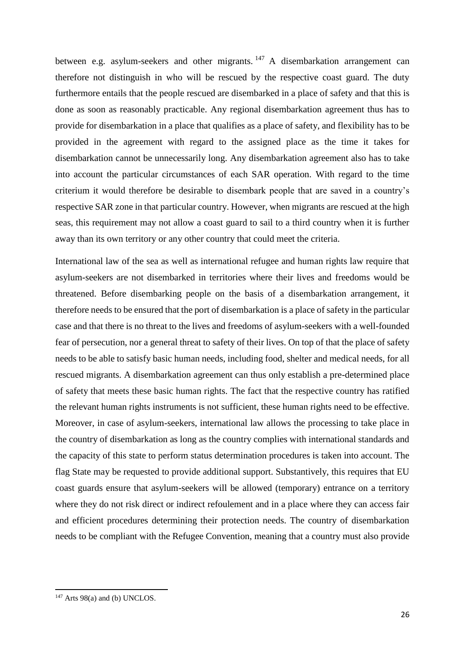between e.g. asylum-seekers and other migrants.  $147$  A disembarkation arrangement can therefore not distinguish in who will be rescued by the respective coast guard. The duty furthermore entails that the people rescued are disembarked in a place of safety and that this is done as soon as reasonably practicable. Any regional disembarkation agreement thus has to provide for disembarkation in a place that qualifies as a place of safety, and flexibility has to be provided in the agreement with regard to the assigned place as the time it takes for disembarkation cannot be unnecessarily long. Any disembarkation agreement also has to take into account the particular circumstances of each SAR operation. With regard to the time criterium it would therefore be desirable to disembark people that are saved in a country's respective SAR zone in that particular country. However, when migrants are rescued at the high seas, this requirement may not allow a coast guard to sail to a third country when it is further away than its own territory or any other country that could meet the criteria.

International law of the sea as well as international refugee and human rights law require that asylum-seekers are not disembarked in territories where their lives and freedoms would be threatened. Before disembarking people on the basis of a disembarkation arrangement, it therefore needs to be ensured that the port of disembarkation is a place of safety in the particular case and that there is no threat to the lives and freedoms of asylum-seekers with a well-founded fear of persecution, nor a general threat to safety of their lives. On top of that the place of safety needs to be able to satisfy basic human needs, including food, shelter and medical needs, for all rescued migrants. A disembarkation agreement can thus only establish a pre-determined place of safety that meets these basic human rights. The fact that the respective country has ratified the relevant human rights instruments is not sufficient, these human rights need to be effective. Moreover, in case of asylum-seekers, international law allows the processing to take place in the country of disembarkation as long as the country complies with international standards and the capacity of this state to perform status determination procedures is taken into account. The flag State may be requested to provide additional support. Substantively, this requires that EU coast guards ensure that asylum-seekers will be allowed (temporary) entrance on a territory where they do not risk direct or indirect refoulement and in a place where they can access fair and efficient procedures determining their protection needs. The country of disembarkation needs to be compliant with the Refugee Convention, meaning that a country must also provide

 $147$  Arts 98(a) and (b) UNCLOS.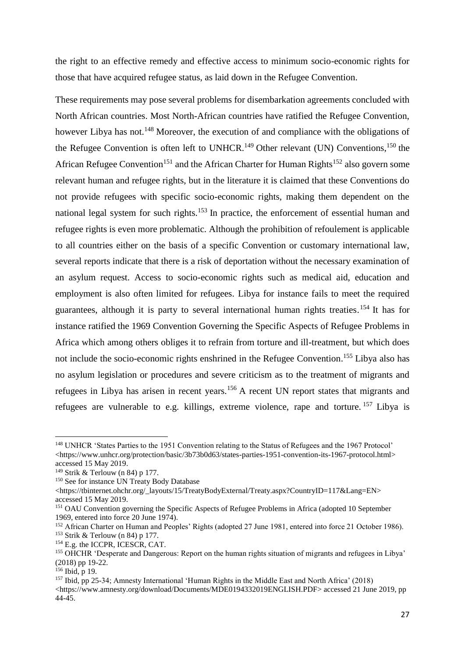the right to an effective remedy and effective access to minimum socio-economic rights for those that have acquired refugee status, as laid down in the Refugee Convention.

These requirements may pose several problems for disembarkation agreements concluded with North African countries. Most North-African countries have ratified the Refugee Convention, however Libya has not.<sup>148</sup> Moreover, the execution of and compliance with the obligations of the Refugee Convention is often left to UNHCR.<sup>149</sup> Other relevant (UN) Conventions,<sup>150</sup> the African Refugee Convention<sup>151</sup> and the African Charter for Human Rights<sup>152</sup> also govern some relevant human and refugee rights, but in the literature it is claimed that these Conventions do not provide refugees with specific socio-economic rights, making them dependent on the national legal system for such rights.<sup>153</sup> In practice, the enforcement of essential human and refugee rights is even more problematic. Although the prohibition of refoulement is applicable to all countries either on the basis of a specific Convention or customary international law, several reports indicate that there is a risk of deportation without the necessary examination of an asylum request. Access to socio-economic rights such as medical aid, education and employment is also often limited for refugees. Libya for instance fails to meet the required guarantees, although it is party to several international human rights treaties. <sup>154</sup> It has for instance ratified the 1969 Convention Governing the Specific Aspects of Refugee Problems in Africa which among others obliges it to refrain from torture and ill-treatment, but which does not include the socio-economic rights enshrined in the Refugee Convention.<sup>155</sup> Libya also has no asylum legislation or procedures and severe criticism as to the treatment of migrants and refugees in Libya has arisen in recent years.<sup>156</sup> A recent UN report states that migrants and refugees are vulnerable to e.g. killings, extreme violence, rape and torture. <sup>157</sup> Libya is

<sup>&</sup>lt;sup>148</sup> UNHCR 'States Parties to the 1951 Convention relating to the Status of Refugees and the 1967 Protocol' <https://www.unhcr.org/protection/basic/3b73b0d63/states-parties-1951-convention-its-1967-protocol.html> accessed 15 May 2019.

<sup>149</sup> Strik & Terlouw (n 84) p 177.

<sup>&</sup>lt;sup>150</sup> See for instance UN Treaty Body Database

<sup>&</sup>lt;https://tbinternet.ohchr.org/\_layouts/15/TreatyBodyExternal/Treaty.aspx?CountryID=117&Lang=EN> accessed 15 May 2019.

<sup>&</sup>lt;sup>151</sup> OAU Convention governing the Specific Aspects of Refugee Problems in Africa (adopted 10 September 1969, entered into force 20 June 1974).

<sup>152</sup> African Charter on Human and Peoples' Rights (adopted 27 June 1981, entered into force 21 October 1986). <sup>153</sup> Strik & Terlouw (n 84) p 177.

<sup>154</sup> E.g. the ICCPR, ICESCR, CAT.

<sup>155</sup> OHCHR 'Desperate and Dangerous: Report on the human rights situation of migrants and refugees in Libya' (2018) pp 19-22.

<sup>156</sup> Ibid, p 19.

<sup>157</sup> Ibid, pp 25-34; Amnesty International 'Human Rights in the Middle East and North Africa' (2018) <https://www.amnesty.org/download/Documents/MDE0194332019ENGLISH.PDF> accessed 21 June 2019, pp 44-45.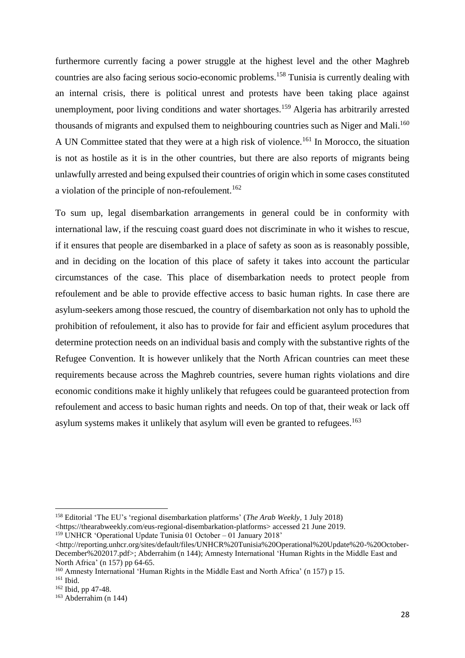furthermore currently facing a power struggle at the highest level and the other Maghreb countries are also facing serious socio-economic problems.<sup>158</sup> Tunisia is currently dealing with an internal crisis, there is political unrest and protests have been taking place against unemployment, poor living conditions and water shortages.<sup>159</sup> Algeria has arbitrarily arrested thousands of migrants and expulsed them to neighbouring countries such as Niger and Mali.<sup>160</sup> A UN Committee stated that they were at a high risk of violence.<sup>161</sup> In Morocco, the situation is not as hostile as it is in the other countries, but there are also reports of migrants being unlawfully arrested and being expulsed their countries of origin which in some cases constituted a violation of the principle of non-refoulement.<sup>162</sup>

To sum up, legal disembarkation arrangements in general could be in conformity with international law, if the rescuing coast guard does not discriminate in who it wishes to rescue, if it ensures that people are disembarked in a place of safety as soon as is reasonably possible, and in deciding on the location of this place of safety it takes into account the particular circumstances of the case. This place of disembarkation needs to protect people from refoulement and be able to provide effective access to basic human rights. In case there are asylum-seekers among those rescued, the country of disembarkation not only has to uphold the prohibition of refoulement, it also has to provide for fair and efficient asylum procedures that determine protection needs on an individual basis and comply with the substantive rights of the Refugee Convention. It is however unlikely that the North African countries can meet these requirements because across the Maghreb countries, severe human rights violations and dire economic conditions make it highly unlikely that refugees could be guaranteed protection from refoulement and access to basic human rights and needs. On top of that, their weak or lack off asylum systems makes it unlikely that asylum will even be granted to refugees.<sup>163</sup>

<sup>158</sup> Editorial 'The EU's 'regional disembarkation platforms' (*The Arab Weekly,* 1 July 2018) <https://thearabweekly.com/eus-regional-disembarkation-platforms> accessed 21 June 2019. <sup>159</sup> UNHCR 'Operational Update Tunisia 01 October – 01 January 2018'

<sup>&</sup>lt;http://reporting.unhcr.org/sites/default/files/UNHCR%20Tunisia%20Operational%20Update%20-%20October-December%202017.pdf>; Abderrahim (n 144); Amnesty International 'Human Rights in the Middle East and North Africa' (n 157) pp 64-65.

<sup>160</sup> Amnesty International 'Human Rights in the Middle East and North Africa' (n 157) p 15.

<sup>161</sup> Ibid.

<sup>162</sup> Ibid, pp 47-48.

 $163$  Abderrahim (n 144)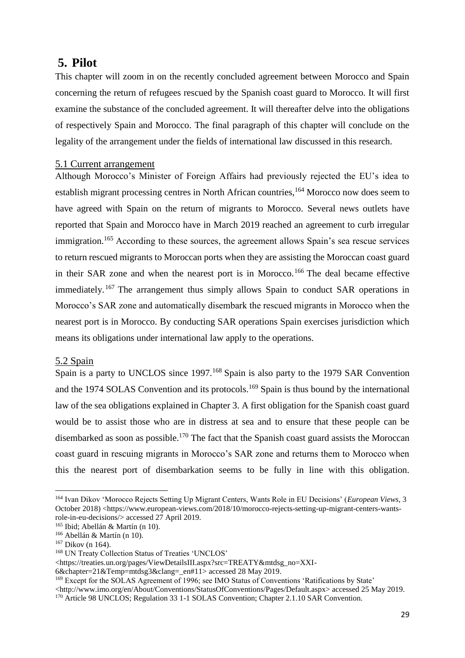# <span id="page-29-0"></span>**5. Pilot**

This chapter will zoom in on the recently concluded agreement between Morocco and Spain concerning the return of refugees rescued by the Spanish coast guard to Morocco. It will first examine the substance of the concluded agreement. It will thereafter delve into the obligations of respectively Spain and Morocco. The final paragraph of this chapter will conclude on the legality of the arrangement under the fields of international law discussed in this research.

## <span id="page-29-1"></span>5.1 Current arrangement

Although Morocco's Minister of Foreign Affairs had previously rejected the EU's idea to establish migrant processing centres in North African countries,<sup>164</sup> Morocco now does seem to have agreed with Spain on the return of migrants to Morocco. Several news outlets have reported that Spain and Morocco have in March 2019 reached an agreement to curb irregular immigration.<sup>165</sup> According to these sources, the agreement allows Spain's sea rescue services to return rescued migrants to Moroccan ports when they are assisting the Moroccan coast guard in their SAR zone and when the nearest port is in Morocco.<sup>166</sup> The deal became effective immediately. <sup>167</sup> The arrangement thus simply allows Spain to conduct SAR operations in Morocco's SAR zone and automatically disembark the rescued migrants in Morocco when the nearest port is in Morocco. By conducting SAR operations Spain exercises jurisdiction which means its obligations under international law apply to the operations.

### <span id="page-29-2"></span>5.2 Spain

Spain is a party to UNCLOS since 1997.<sup>168</sup> Spain is also party to the 1979 SAR Convention and the 1974 SOLAS Convention and its protocols.<sup>169</sup> Spain is thus bound by the international law of the sea obligations explained in Chapter 3. A first obligation for the Spanish coast guard would be to assist those who are in distress at sea and to ensure that these people can be disembarked as soon as possible.<sup>170</sup> The fact that the Spanish coast guard assists the Moroccan coast guard in rescuing migrants in Morocco's SAR zone and returns them to Morocco when this the nearest port of disembarkation seems to be fully in line with this obligation.

<sup>164</sup> Ivan Dikov 'Morocco Rejects Setting Up Migrant Centers, Wants Role in EU Decisions' (*European Views*, 3 October 2018) <https://www.european-views.com/2018/10/morocco-rejects-setting-up-migrant-centers-wantsrole-in-eu-decisions/> accessed 27 April 2019.

<sup>165</sup> Ibid; Abellán & Martín (n 10).

<sup>166</sup> Abellán & Martín (n 10).

<sup>167</sup> Dikov (n 164).

<sup>168</sup> UN Treaty Collection Status of Treaties 'UNCLOS'

<sup>&</sup>lt;https://treaties.un.org/pages/ViewDetailsIII.aspx?src=TREATY&mtdsg\_no=XXI-

<sup>6&</sup>amp;chapter=21&Temp=mtdsg3&clang=\_en#11> accessed 28 May 2019.

<sup>&</sup>lt;sup>169</sup> Except for the SOLAS Agreement of 1996; see IMO Status of Conventions 'Ratifications by State'

<sup>&</sup>lt;http://www.imo.org/en/About/Conventions/StatusOfConventions/Pages/Default.aspx> accessed 25 May 2019.

<sup>&</sup>lt;sup>170</sup> Article 98 UNCLOS; Regulation 33 1-1 SOLAS Convention; Chapter 2.1.10 SAR Convention.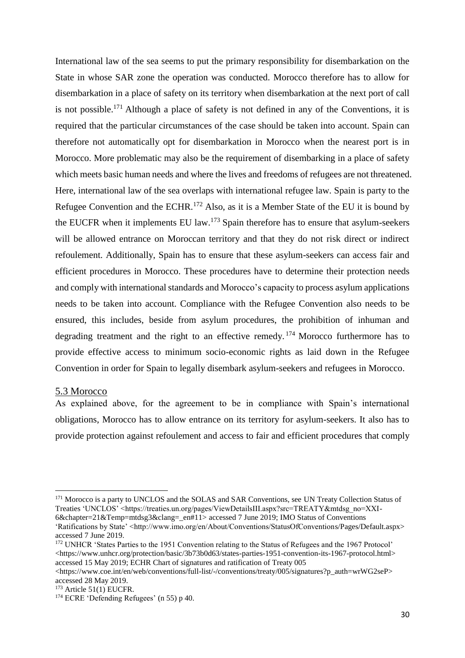International law of the sea seems to put the primary responsibility for disembarkation on the State in whose SAR zone the operation was conducted. Morocco therefore has to allow for disembarkation in a place of safety on its territory when disembarkation at the next port of call is not possible.<sup>171</sup> Although a place of safety is not defined in any of the Conventions, it is required that the particular circumstances of the case should be taken into account. Spain can therefore not automatically opt for disembarkation in Morocco when the nearest port is in Morocco. More problematic may also be the requirement of disembarking in a place of safety which meets basic human needs and where the lives and freedoms of refugees are not threatened. Here, international law of the sea overlaps with international refugee law. Spain is party to the Refugee Convention and the ECHR.<sup>172</sup> Also, as it is a Member State of the EU it is bound by the EUCFR when it implements EU law.<sup>173</sup> Spain therefore has to ensure that asylum-seekers will be allowed entrance on Moroccan territory and that they do not risk direct or indirect refoulement. Additionally, Spain has to ensure that these asylum-seekers can access fair and efficient procedures in Morocco. These procedures have to determine their protection needs and comply with international standards and Morocco's capacity to process asylum applications needs to be taken into account. Compliance with the Refugee Convention also needs to be ensured, this includes, beside from asylum procedures, the prohibition of inhuman and degrading treatment and the right to an effective remedy.  $174$  Morocco furthermore has to provide effective access to minimum socio-economic rights as laid down in the Refugee Convention in order for Spain to legally disembark asylum-seekers and refugees in Morocco.

#### <span id="page-30-0"></span>5.3 Morocco

**.** 

As explained above, for the agreement to be in compliance with Spain's international obligations, Morocco has to allow entrance on its territory for asylum-seekers. It also has to provide protection against refoulement and access to fair and efficient procedures that comply

<sup>&</sup>lt;sup>171</sup> Morocco is a party to UNCLOS and the SOLAS and SAR Conventions, see UN Treaty Collection Status of Treaties 'UNCLOS' <https://treaties.un.org/pages/ViewDetailsIII.aspx?src=TREATY&mtdsg\_no=XXI-6&chapter=21&Temp=mtdsg3&clang=\_en#11> accessed 7 June 2019; IMO Status of Conventions 'Ratifications by State' <http://www.imo.org/en/About/Conventions/StatusOfConventions/Pages/Default.aspx>

accessed 7 June 2019.

<sup>172</sup> UNHCR 'States Parties to the 1951 Convention relating to the Status of Refugees and the 1967 Protocol' <https://www.unhcr.org/protection/basic/3b73b0d63/states-parties-1951-convention-its-1967-protocol.html> accessed 15 May 2019; ECHR Chart of signatures and ratification of Treaty 005

 $\lt$ https://www.coe.int/en/web/conventions/full-list/-/conventions/treaty/005/signatures?p\_auth=wrWG2seP> accessed 28 May 2019.

 $173$  Article 51(1) EUCFR.

<sup>174</sup> ECRE 'Defending Refugees' (n 55) p 40.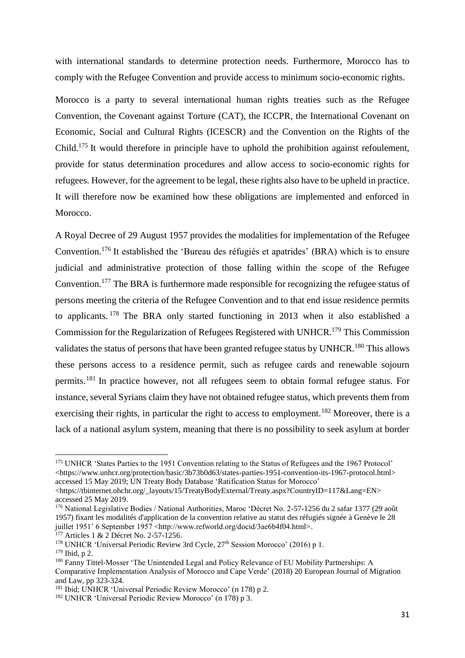with international standards to determine protection needs. Furthermore, Morocco has to comply with the Refugee Convention and provide access to minimum socio-economic rights.

Morocco is a party to several international human rights treaties such as the Refugee Convention, the Covenant against Torture (CAT), the ICCPR, the International Covenant on Economic, Social and Cultural Rights (ICESCR) and the Convention on the Rights of the Child.<sup>175</sup> It would therefore in principle have to uphold the prohibition against refoulement, provide for status determination procedures and allow access to socio-economic rights for refugees. However, for the agreement to be legal, these rights also have to be upheld in practice. It will therefore now be examined how these obligations are implemented and enforced in Morocco.

A Royal Decree of 29 August 1957 provides the modalities for implementation of the Refugee Convention.<sup>176</sup> It established the 'Bureau des réfugiés et apatrides' (BRA) which is to ensure judicial and administrative protection of those falling within the scope of the Refugee Convention.<sup>177</sup> The BRA is furthermore made responsible for recognizing the refugee status of persons meeting the criteria of the Refugee Convention and to that end issue residence permits to applicants. <sup>178</sup> The BRA only started functioning in 2013 when it also established a Commission for the Regularization of Refugees Registered with UNHCR.<sup>179</sup> This Commission validates the status of persons that have been granted refugee status by UNHCR.<sup>180</sup> This allows these persons access to a residence permit, such as refugee cards and renewable sojourn permits.<sup>181</sup> In practice however, not all refugees seem to obtain formal refugee status. For instance, several Syrians claim they have not obtained refugee status, which prevents them from exercising their rights, in particular the right to access to employment.<sup>182</sup> Moreover, there is a lack of a national asylum system, meaning that there is no possibility to seek asylum at border

<sup>&</sup>lt;sup>175</sup> UNHCR 'States Parties to the 1951 Convention relating to the Status of Refugees and the 1967 Protocol' <https://www.unhcr.org/protection/basic/3b73b0d63/states-parties-1951-convention-its-1967-protocol.html> accessed 15 May 2019; UN Treaty Body Database 'Ratification Status for Morocco'

<sup>&</sup>lt;https://tbinternet.ohchr.org/\_layouts/15/TreatyBodyExternal/Treaty.aspx?CountryID=117&Lang=EN> accessed 25 May 2019.

<sup>176</sup> National Legislative Bodies / National Authorities, Maroc 'Décret No. 2-57-1256 du 2 safar 1377 (29 août 1957) fixant les modalités d'application de la convention relative au statut des réfugiés signée à Genève le 28 juillet 1951' 6 September 1957 <http://www.refworld.org/docid/3ae6b4f04.html>.

<sup>&</sup>lt;sup>177</sup> Articles 1 & 2 Décret No. 2-57-1256.

<sup>&</sup>lt;sup>178</sup> UNHCR 'Universal Periodic Review 3rd Cycle, 27<sup>th</sup> Session Morocco' (2016) p 1.

<sup>179</sup> Ibid, p 2.

<sup>&</sup>lt;sup>180</sup> Fanny Tittel-Mosser 'The Unintended Legal and Policy Relevance of EU Mobility Partnerships: A Comparative Implementation Analysis of Morocco and Cape Verde' (2018) 20 European Journal of Migration and Law, pp 323-324.

<sup>181</sup> Ibid; UNHCR 'Universal Periodic Review Morocco' (n 178) p 2.

<sup>182</sup> UNHCR 'Universal Periodic Review Morocco' (n 178) p 3.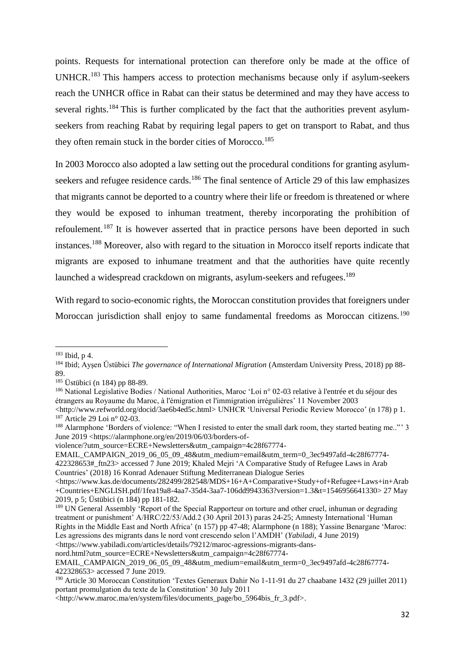points. Requests for international protection can therefore only be made at the office of UNHCR.<sup>183</sup> This hampers access to protection mechanisms because only if asylum-seekers reach the UNHCR office in Rabat can their status be determined and may they have access to several rights.<sup>184</sup> This is further complicated by the fact that the authorities prevent asylumseekers from reaching Rabat by requiring legal papers to get on transport to Rabat, and thus they often remain stuck in the border cities of Morocco.<sup>185</sup>

In 2003 Morocco also adopted a law setting out the procedural conditions for granting asylumseekers and refugee residence cards.<sup>186</sup> The final sentence of Article 29 of this law emphasizes that migrants cannot be deported to a country where their life or freedom is threatened or where they would be exposed to inhuman treatment, thereby incorporating the prohibition of refoulement.<sup>187</sup> It is however asserted that in practice persons have been deported in such instances.<sup>188</sup> Moreover, also with regard to the situation in Morocco itself reports indicate that migrants are exposed to inhumane treatment and that the authorities have quite recently launched a widespread crackdown on migrants, asylum-seekers and refugees.<sup>189</sup>

With regard to socio-economic rights, the Moroccan constitution provides that foreigners under Moroccan jurisdiction shall enjoy to same fundamental freedoms as Moroccan citizens.<sup>190</sup>

**.** 

EMAIL\_CAMPAIGN\_2019\_06\_05\_09\_48&utm\_medium=email&utm\_term=0\_3ec9497afd-4c28f67774- 422328653#\_ftn23> accessed 7 June 2019; Khaled Mejri 'A Comparative Study of Refugee Laws in Arab Countries' (2018) 16 Konrad Adenauer Stiftung Mediterranean Dialogue Series

<https://www.kas.de/documents/282499/282548/MDS+16+A+Comparative+Study+of+Refugee+Laws+in+Arab +Countries+ENGLISH.pdf/1fea19a8-4aa7-35d4-3aa7-106dd9943363?version=1.3&t=1546956641330> 27 May 2019, p 5; Üstübici (n 184) pp 181-182.

<sup>183</sup> Ibid, p 4.

<sup>184</sup> Ibid; Ayşen Üstübici *The governance of International Migration* (Amsterdam University Press, 2018) pp 88- 89.

<sup>185</sup> Üstübici (n 184) pp 88-89.

<sup>186</sup> National Legislative Bodies / National Authorities, Maroc 'Loi n° 02-03 relative à l'entrée et du séjour des étrangers au Royaume du Maroc, à l'émigration et l'immigration irrégulières' 11 November 2003

<sup>&</sup>lt;http://www.refworld.org/docid/3ae6b4ed5c.html> UNHCR 'Universal Periodic Review Morocco' (n 178) p 1. <sup>187</sup> Article 29 Loi n° 02-03.

<sup>188</sup> Alarmphone 'Borders of violence: "When I resisted to enter the small dark room, they started beating me.."' 3 June 2019 <https://alarmphone.org/en/2019/06/03/borders-of-

violence/?utm\_source=ECRE+Newsletters&utm\_campaign=4c28f67774-

<sup>&</sup>lt;sup>189</sup> UN General Assembly 'Report of the Special Rapporteur on torture and other cruel, inhuman or degrading treatment or punishment' A/HRC/22/53/Add.2 (30 April 2013) paras 24-25; Amnesty International 'Human Rights in the Middle East and North Africa' (n 157) pp 47-48; Alarmphone (n 188); Yassine Benargane 'Maroc: Les agressions des migrants dans le nord vont crescendo selon l'AMDH' (*Yabiladi,* 4 June 2019)

<sup>&</sup>lt;https://www.yabiladi.com/articles/details/79212/maroc-agressions-migrants-dans-

nord.html?utm\_source=ECRE+Newsletters&utm\_campaign=4c28f67774-

EMAIL\_CAMPAIGN\_2019\_06\_05\_09\_48&utm\_medium=email&utm\_term=0\_3ec9497afd-4c28f67774- 422328653> accessed 7 June 2019.

<sup>190</sup> Article 30 Moroccan Constitution 'Textes Generaux Dahir No 1-11-91 du 27 chaabane 1432 (29 juillet 2011) portant promulgation du texte de la Constitution' 30 July 2011

<sup>&</sup>lt;http://www.maroc.ma/en/system/files/documents\_page/bo\_5964bis\_fr\_3.pdf>.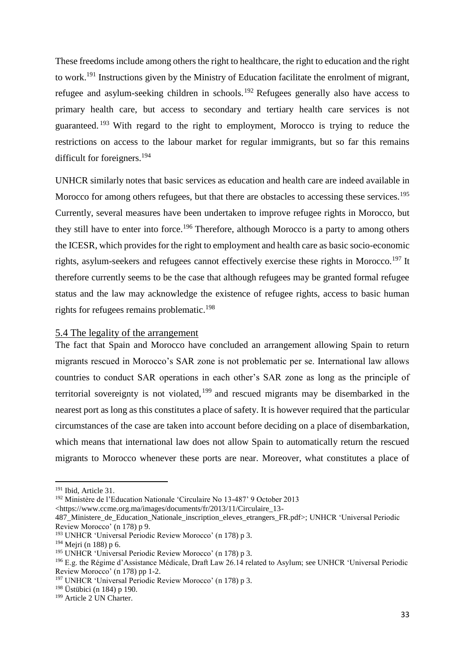These freedoms include among others the right to healthcare, the right to education and the right to work.<sup>191</sup> Instructions given by the Ministry of Education facilitate the enrolment of migrant, refugee and asylum-seeking children in schools.<sup>192</sup> Refugees generally also have access to primary health care, but access to secondary and tertiary health care services is not guaranteed. <sup>193</sup> With regard to the right to employment, Morocco is trying to reduce the restrictions on access to the labour market for regular immigrants, but so far this remains difficult for foreigners. 194

UNHCR similarly notes that basic services as education and health care are indeed available in Morocco for among others refugees, but that there are obstacles to accessing these services.<sup>195</sup> Currently, several measures have been undertaken to improve refugee rights in Morocco, but they still have to enter into force.<sup>196</sup> Therefore, although Morocco is a party to among others the ICESR, which provides for the right to employment and health care as basic socio-economic rights, asylum-seekers and refugees cannot effectively exercise these rights in Morocco.<sup>197</sup> It therefore currently seems to be the case that although refugees may be granted formal refugee status and the law may acknowledge the existence of refugee rights, access to basic human rights for refugees remains problematic.<sup>198</sup>

#### <span id="page-33-0"></span>5.4 The legality of the arrangement

The fact that Spain and Morocco have concluded an arrangement allowing Spain to return migrants rescued in Morocco's SAR zone is not problematic per se. International law allows countries to conduct SAR operations in each other's SAR zone as long as the principle of territorial sovereignty is not violated,  $199$  and rescued migrants may be disembarked in the nearest port as long as this constitutes a place of safety. It is however required that the particular circumstances of the case are taken into account before deciding on a place of disembarkation, which means that international law does not allow Spain to automatically return the rescued migrants to Morocco whenever these ports are near. Moreover, what constitutes a place of

<sup>191</sup> Ibid, Article 31.

<sup>192</sup> Ministère de l'Education Nationale 'Circulaire No 13-487' 9 October 2013

<sup>&</sup>lt;https://www.ccme.org.ma/images/documents/fr/2013/11/Circulaire\_13-

<sup>487</sup> Ministere de Education Nationale inscription eleves etrangers FR.pdf>; UNHCR 'Universal Periodic Review Morocco' (n 178) p 9.

<sup>193</sup> UNHCR 'Universal Periodic Review Morocco' (n 178) p 3.

<sup>194</sup> Mejri (n 188) p 6.

<sup>195</sup> UNHCR 'Universal Periodic Review Morocco' (n 178) p 3.

<sup>196</sup> E.g. the Régime d'Assistance Médicale, Draft Law 26.14 related to Asylum; see UNHCR 'Universal Periodic Review Morocco' (n 178) pp 1-2.

<sup>197</sup> UNHCR 'Universal Periodic Review Morocco' (n 178) p 3.

<sup>198</sup> Üstübici (n 184) p 190.

<sup>199</sup> Article 2 UN Charter.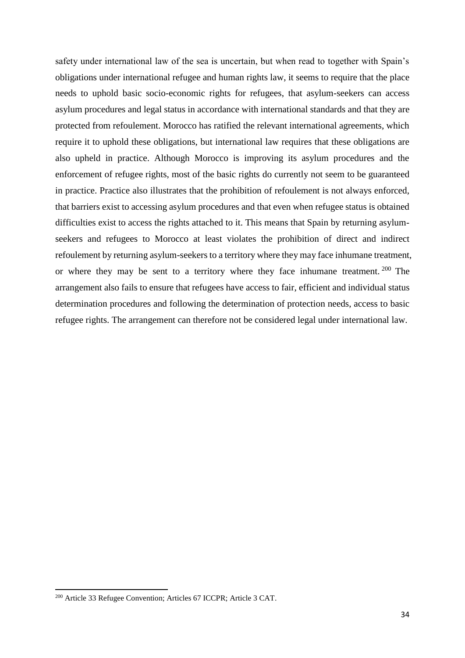safety under international law of the sea is uncertain, but when read to together with Spain's obligations under international refugee and human rights law, it seems to require that the place needs to uphold basic socio-economic rights for refugees, that asylum-seekers can access asylum procedures and legal status in accordance with international standards and that they are protected from refoulement. Morocco has ratified the relevant international agreements, which require it to uphold these obligations, but international law requires that these obligations are also upheld in practice. Although Morocco is improving its asylum procedures and the enforcement of refugee rights, most of the basic rights do currently not seem to be guaranteed in practice. Practice also illustrates that the prohibition of refoulement is not always enforced, that barriers exist to accessing asylum procedures and that even when refugee status is obtained difficulties exist to access the rights attached to it. This means that Spain by returning asylumseekers and refugees to Morocco at least violates the prohibition of direct and indirect refoulement by returning asylum-seekers to a territory where they may face inhumane treatment, or where they may be sent to a territory where they face inhumane treatment.<sup>200</sup> The arrangement also fails to ensure that refugees have access to fair, efficient and individual status determination procedures and following the determination of protection needs, access to basic refugee rights. The arrangement can therefore not be considered legal under international law.

<sup>&</sup>lt;sup>200</sup> Article 33 Refugee Convention; Articles 67 ICCPR; Article 3 CAT.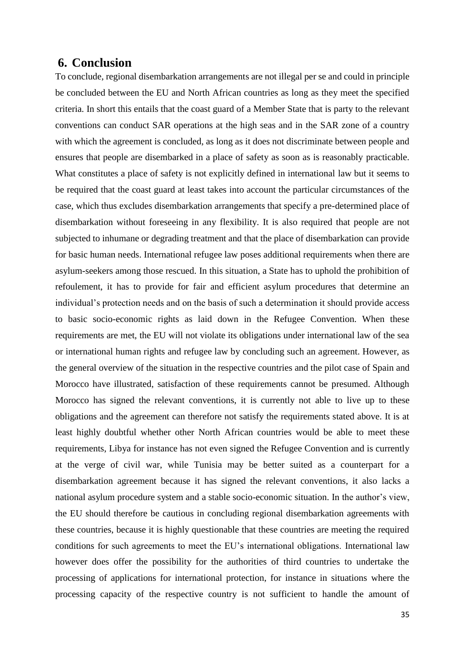# <span id="page-35-0"></span>**6. Conclusion**

To conclude, regional disembarkation arrangements are not illegal per se and could in principle be concluded between the EU and North African countries as long as they meet the specified criteria. In short this entails that the coast guard of a Member State that is party to the relevant conventions can conduct SAR operations at the high seas and in the SAR zone of a country with which the agreement is concluded, as long as it does not discriminate between people and ensures that people are disembarked in a place of safety as soon as is reasonably practicable. What constitutes a place of safety is not explicitly defined in international law but it seems to be required that the coast guard at least takes into account the particular circumstances of the case, which thus excludes disembarkation arrangements that specify a pre-determined place of disembarkation without foreseeing in any flexibility. It is also required that people are not subjected to inhumane or degrading treatment and that the place of disembarkation can provide for basic human needs. International refugee law poses additional requirements when there are asylum-seekers among those rescued. In this situation, a State has to uphold the prohibition of refoulement, it has to provide for fair and efficient asylum procedures that determine an individual's protection needs and on the basis of such a determination it should provide access to basic socio-economic rights as laid down in the Refugee Convention. When these requirements are met, the EU will not violate its obligations under international law of the sea or international human rights and refugee law by concluding such an agreement. However, as the general overview of the situation in the respective countries and the pilot case of Spain and Morocco have illustrated, satisfaction of these requirements cannot be presumed. Although Morocco has signed the relevant conventions, it is currently not able to live up to these obligations and the agreement can therefore not satisfy the requirements stated above. It is at least highly doubtful whether other North African countries would be able to meet these requirements, Libya for instance has not even signed the Refugee Convention and is currently at the verge of civil war, while Tunisia may be better suited as a counterpart for a disembarkation agreement because it has signed the relevant conventions, it also lacks a national asylum procedure system and a stable socio-economic situation. In the author's view, the EU should therefore be cautious in concluding regional disembarkation agreements with these countries, because it is highly questionable that these countries are meeting the required conditions for such agreements to meet the EU's international obligations. International law however does offer the possibility for the authorities of third countries to undertake the processing of applications for international protection, for instance in situations where the processing capacity of the respective country is not sufficient to handle the amount of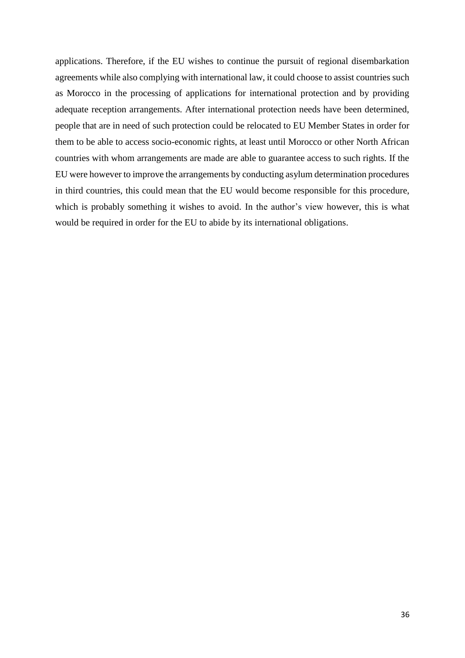applications. Therefore, if the EU wishes to continue the pursuit of regional disembarkation agreements while also complying with international law, it could choose to assist countries such as Morocco in the processing of applications for international protection and by providing adequate reception arrangements. After international protection needs have been determined, people that are in need of such protection could be relocated to EU Member States in order for them to be able to access socio-economic rights, at least until Morocco or other North African countries with whom arrangements are made are able to guarantee access to such rights. If the EU were however to improve the arrangements by conducting asylum determination procedures in third countries, this could mean that the EU would become responsible for this procedure, which is probably something it wishes to avoid. In the author's view however, this is what would be required in order for the EU to abide by its international obligations.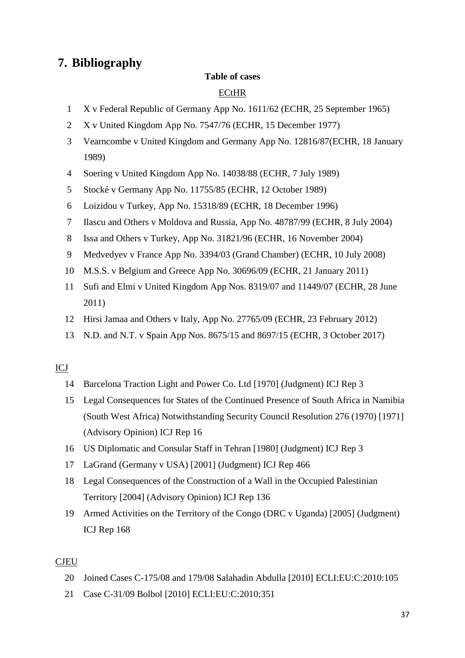# <span id="page-37-0"></span>**7. Bibliography**

## **Table of cases**

# **ECtHR**

- X v Federal Republic of Germany App No. 1611/62 (ECHR, 25 September 1965)
- X v United Kingdom App No. 7547/76 (ECHR, 15 December 1977)
- Vearncombe v United Kingdom and Germany App No. 12816/87(ECHR, 18 January 1989)
- Soering v United Kingdom App No. 14038/88 (ECHR, 7 July 1989)
- Stocké v Germany App No. 11755/85 (ECHR, 12 October 1989)
- Loizidou v Turkey, App No. 15318/89 (ECHR, 18 December 1996)
- Ilascu and Others v Moldova and Russia, App No. 48787/99 (ECHR, 8 July 2004)
- Issa and Others v Turkey, App No. 31821/96 (ECHR, 16 November 2004)
- Medvedyev v France App No. 3394/03 (Grand Chamber) (ECHR, 10 July 2008)
- M.S.S. v Belgium and Greece App No. 30696/09 (ECHR, 21 January 2011)
- Sufi and Elmi v United Kingdom App Nos. 8319/07 and 11449/07 (ECHR, 28 June 2011)
- Hirsi Jamaa and Others v Italy, App No. 27765/09 (ECHR, 23 February 2012)
- N.D. and N.T. v Spain App Nos. 8675/15 and 8697/15 (ECHR, 3 October 2017)

# ICJ

- Barcelona Traction Light and Power Co. Ltd [1970] (Judgment) ICJ Rep 3
- Legal Consequences for States of the Continued Presence of South Africa in Namibia (South West Africa) Notwithstanding Security Council Resolution 276 (1970) [1971] (Advisory Opinion) ICJ Rep 16
- US Diplomatic and Consular Staff in Tehran [1980] (Judgment) ICJ Rep 3
- LaGrand (Germany v USA) [2001] (Judgment) ICJ Rep 466
- Legal Consequences of the Construction of a Wall in the Occupied Palestinian Territory [2004] (Advisory Opinion) ICJ Rep 136
- Armed Activities on the Territory of the Congo (DRC v Uganda) [2005] (Judgment) ICJ Rep 168

## CJEU

- Joined Cases C-175/08 and 179/08 Salahadin Abdulla [2010] ECLI:EU:C:2010:105
- Case C-31/09 Bolbol [2010] ECLI:EU:C:2010:351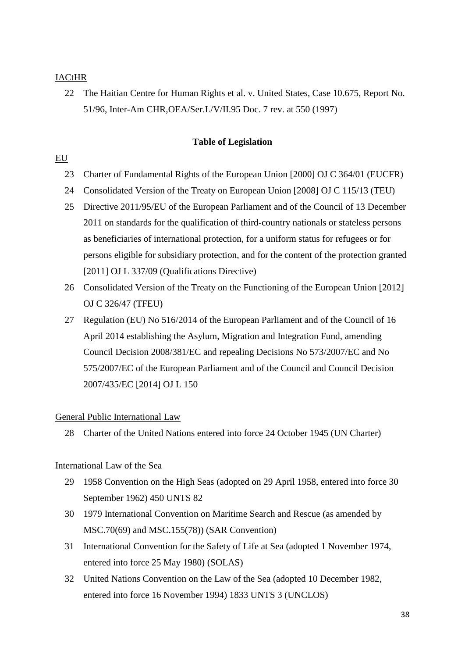## IACtHR

22 The Haitian Centre for Human Rights et al. v. United States, Case 10.675, Report No. 51/96, Inter-Am CHR,OEA/Ser.L/V/II.95 Doc. 7 rev. at 550 (1997)

#### **Table of Legislation**

### EU

- 23 Charter of Fundamental Rights of the European Union [2000] OJ C 364/01 (EUCFR)
- 24 Consolidated Version of the Treaty on European Union [2008] OJ C 115/13 (TEU)
- 25 Directive 2011/95/EU of the European Parliament and of the Council of 13 December 2011 on standards for the qualification of third-country nationals or stateless persons as beneficiaries of international protection, for a uniform status for refugees or for persons eligible for subsidiary protection, and for the content of the protection granted [2011] OJ L 337/09 (Qualifications Directive)
- 26 Consolidated Version of the Treaty on the Functioning of the European Union [2012] OJ C 326/47 (TFEU)
- 27 Regulation (EU) No 516/2014 of the European Parliament and of the Council of 16 April 2014 establishing the Asylum, Migration and Integration Fund, amending Council Decision 2008/381/EC and repealing Decisions No 573/2007/EC and No 575/2007/EC of the European Parliament and of the Council and Council Decision 2007/435/EC [2014] OJ L 150

### General Public International Law

28 Charter of the United Nations entered into force 24 October 1945 (UN Charter)

### International Law of the Sea

- 29 1958 Convention on the High Seas (adopted on 29 April 1958, entered into force 30 September 1962) 450 UNTS 82
- 30 1979 International Convention on Maritime Search and Rescue (as amended by MSC.70(69) and MSC.155(78)) (SAR Convention)
- 31 International Convention for the Safety of Life at Sea (adopted 1 November 1974, entered into force 25 May 1980) (SOLAS)
- 32 United Nations Convention on the Law of the Sea (adopted 10 December 1982, entered into force 16 November 1994) 1833 UNTS 3 (UNCLOS)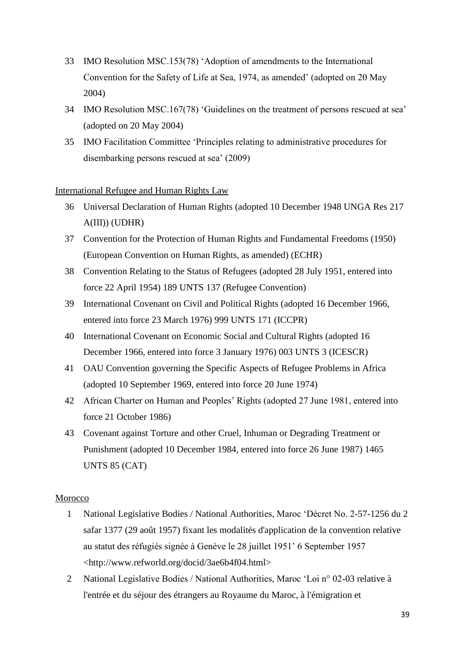- 33 IMO Resolution MSC.153(78) 'Adoption of amendments to the International Convention for the Safety of Life at Sea, 1974, as amended' (adopted on 20 May 2004)
- 34 IMO Resolution MSC.167(78) 'Guidelines on the treatment of persons rescued at sea' (adopted on 20 May 2004)
- 35 IMO Facilitation Committee 'Principles relating to administrative procedures for disembarking persons rescued at sea' (2009)

### International Refugee and Human Rights Law

- 36 Universal Declaration of Human Rights (adopted 10 December 1948 UNGA Res 217 A(III)) (UDHR)
- 37 Convention for the Protection of Human Rights and Fundamental Freedoms (1950) (European Convention on Human Rights, as amended) (ECHR)
- 38 Convention Relating to the Status of Refugees (adopted 28 July 1951, entered into force 22 April 1954) 189 UNTS 137 (Refugee Convention)
- 39 International Covenant on Civil and Political Rights (adopted 16 December 1966, entered into force 23 March 1976) 999 UNTS 171 (ICCPR)
- 40 International Covenant on Economic Social and Cultural Rights (adopted 16 December 1966, entered into force 3 January 1976) 003 UNTS 3 (ICESCR)
- 41 OAU Convention governing the Specific Aspects of Refugee Problems in Africa (adopted 10 September 1969, entered into force 20 June 1974)
- 42 African Charter on Human and Peoples' Rights (adopted 27 June 1981, entered into force 21 October 1986)
- 43 Covenant against Torture and other Cruel, Inhuman or Degrading Treatment or Punishment (adopted 10 December 1984, entered into force 26 June 1987) 1465 UNTS 85 (CAT)

#### Morocco

- 1 National Legislative Bodies / National Authorities, Maroc 'Décret No. 2-57-1256 du 2 safar 1377 (29 août 1957) fixant les modalités d'application de la convention relative au statut des réfugiés signée à Genève le 28 juillet 1951' 6 September 1957 <http://www.refworld.org/docid/3ae6b4f04.html>
- 2 National Legislative Bodies / National Authorities, Maroc 'Loi n° 02-03 relative à l'entrée et du séjour des étrangers au Royaume du Maroc, à l'émigration et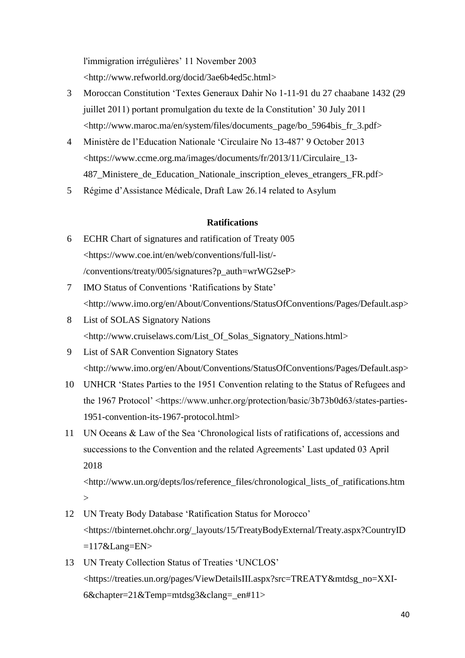l'immigration irrégulières' 11 November 2003 <http://www.refworld.org/docid/3ae6b4ed5c.html>

- 3 Moroccan Constitution 'Textes Generaux Dahir No 1-11-91 du 27 chaabane 1432 (29 juillet 2011) portant promulgation du texte de la Constitution' 30 July 2011 <http://www.maroc.ma/en/system/files/documents\_page/bo\_5964bis\_fr\_3.pdf>
- 4 Ministère de l'Education Nationale 'Circulaire No 13-487' 9 October 2013 <https://www.ccme.org.ma/images/documents/fr/2013/11/Circulaire\_13- 487\_Ministere\_de\_Education\_Nationale\_inscription\_eleves\_etrangers\_FR.pdf>
- 5 Régime d'Assistance Médicale, Draft Law 26.14 related to Asylum

### **Ratifications**

- 6 ECHR Chart of signatures and ratification of Treaty 005 <https://www.coe.int/en/web/conventions/full-list/- /conventions/treaty/005/signatures?p\_auth=wrWG2seP>
- 7 IMO Status of Conventions 'Ratifications by State' <http://www.imo.org/en/About/Conventions/StatusOfConventions/Pages/Default.asp>
- 8 List of SOLAS Signatory Nations <http://www.cruiselaws.com/List\_Of\_Solas\_Signatory\_Nations.html>
- 9 List of SAR Convention Signatory States <http://www.imo.org/en/About/Conventions/StatusOfConventions/Pages/Default.asp>
- 10 UNHCR 'States Parties to the 1951 Convention relating to the Status of Refugees and the 1967 Protocol' <https://www.unhcr.org/protection/basic/3b73b0d63/states-parties-1951-convention-its-1967-protocol.html>
- 11 UN Oceans & Law of the Sea 'Chronological lists of ratifications of, accessions and successions to the Convention and the related Agreements' Last updated 03 April 2018

<http://www.un.org/depts/los/reference\_files/chronological\_lists\_of\_ratifications.htm  $\geq$ 

- 12 UN Treaty Body Database 'Ratification Status for Morocco' <https://tbinternet.ohchr.org/\_layouts/15/TreatyBodyExternal/Treaty.aspx?CountryID  $=117$ &Lang=EN>
- 13 UN Treaty Collection Status of Treaties 'UNCLOS' <https://treaties.un.org/pages/ViewDetailsIII.aspx?src=TREATY&mtdsg\_no=XXI-6&chapter=21&Temp=mtdsg3&clang=\_en#11>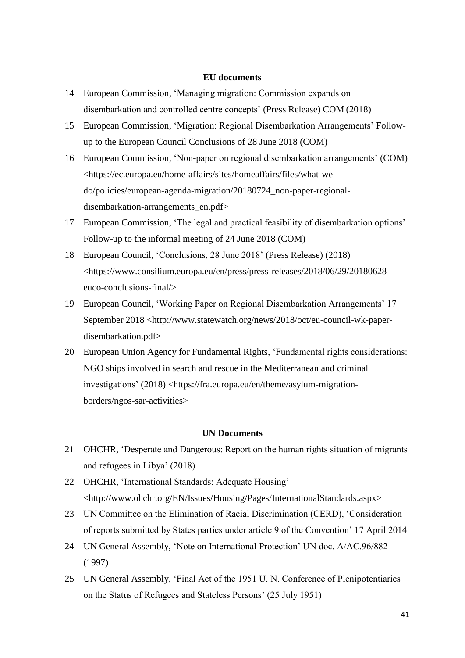#### **EU documents**

- 14 European Commission, 'Managing migration: Commission expands on disembarkation and controlled centre concepts' (Press Release) COM (2018)
- 15 European Commission, 'Migration: Regional Disembarkation Arrangements' Followup to the European Council Conclusions of 28 June 2018 (COM)
- 16 European Commission, 'Non-paper on regional disembarkation arrangements' (COM) <https://ec.europa.eu/home-affairs/sites/homeaffairs/files/what-wedo/policies/european-agenda-migration/20180724\_non-paper-regionaldisembarkation-arrangements\_en.pdf>
- 17 European Commission, 'The legal and practical feasibility of disembarkation options' Follow-up to the informal meeting of 24 June 2018 (COM)
- 18 European Council, 'Conclusions, 28 June 2018' (Press Release) (2018) <https://www.consilium.europa.eu/en/press/press-releases/2018/06/29/20180628 euco-conclusions-final/>
- 19 European Council, 'Working Paper on Regional Disembarkation Arrangements' 17 September 2018 <http://www.statewatch.org/news/2018/oct/eu-council-wk-paperdisembarkation.pdf>
- 20 European Union Agency for Fundamental Rights, 'Fundamental rights considerations: NGO ships involved in search and rescue in the Mediterranean and criminal investigations' (2018) <https://fra.europa.eu/en/theme/asylum-migrationborders/ngos-sar-activities>

#### **UN Documents**

- 21 OHCHR, 'Desperate and Dangerous: Report on the human rights situation of migrants and refugees in Libya' (2018)
- 22 OHCHR, 'International Standards: Adequate Housing' <http://www.ohchr.org/EN/Issues/Housing/Pages/InternationalStandards.aspx>
- 23 UN Committee on the Elimination of Racial Discrimination (CERD), 'Consideration of reports submitted by States parties under article 9 of the Convention' 17 April 2014
- 24 UN General Assembly, 'Note on International Protection' UN doc. A/AC.96/882 (1997)
- 25 UN General Assembly, 'Final Act of the 1951 U. N. Conference of Plenipotentiaries on the Status of Refugees and Stateless Persons' (25 July 1951)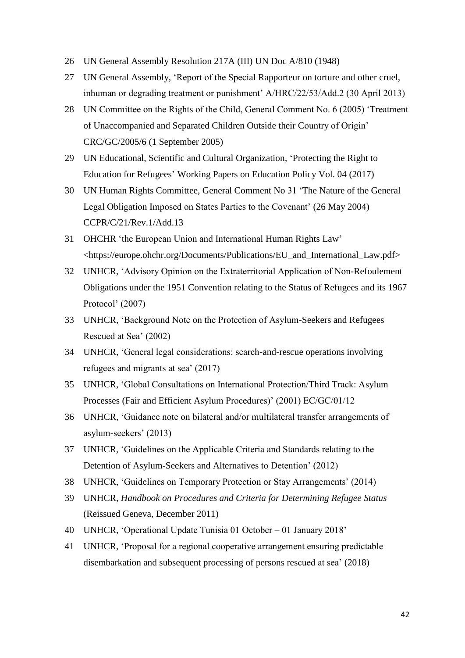- 26 UN General Assembly Resolution 217A (III) UN Doc A/810 (1948)
- 27 UN General Assembly, 'Report of the Special Rapporteur on torture and other cruel, inhuman or degrading treatment or punishment' A/HRC/22/53/Add.2 (30 April 2013)
- 28 UN Committee on the Rights of the Child, General Comment No. 6 (2005) 'Treatment of Unaccompanied and Separated Children Outside their Country of Origin' CRC/GC/2005/6 (1 September 2005)
- 29 UN Educational, Scientific and Cultural Organization, 'Protecting the Right to Education for Refugees' Working Papers on Education Policy Vol. 04 (2017)
- 30 UN Human Rights Committee, General Comment No 31 'The Nature of the General Legal Obligation Imposed on States Parties to the Covenant' (26 May 2004) CCPR/C/21/Rev.1/Add.13
- 31 OHCHR 'the European Union and International Human Rights Law' <https://europe.ohchr.org/Documents/Publications/EU\_and\_International\_Law.pdf>
- 32 UNHCR, 'Advisory Opinion on the Extraterritorial Application of Non-Refoulement Obligations under the 1951 Convention relating to the Status of Refugees and its 1967 Protocol' (2007)
- 33 UNHCR, 'Background Note on the Protection of Asylum-Seekers and Refugees Rescued at Sea' (2002)
- 34 UNHCR, 'General legal considerations: search-and-rescue operations involving refugees and migrants at sea' (2017)
- 35 UNHCR, 'Global Consultations on International Protection/Third Track: Asylum Processes (Fair and Efficient Asylum Procedures)' (2001) EC/GC/01/12
- 36 UNHCR, 'Guidance note on bilateral and/or multilateral transfer arrangements of asylum-seekers' (2013)
- 37 UNHCR, 'Guidelines on the Applicable Criteria and Standards relating to the Detention of Asylum-Seekers and Alternatives to Detention' (2012)
- 38 UNHCR, 'Guidelines on Temporary Protection or Stay Arrangements' (2014)
- 39 UNHCR, *Handbook on Procedures and Criteria for Determining Refugee Status* (Reissued Geneva, December 2011)
- 40 UNHCR, 'Operational Update Tunisia 01 October 01 January 2018'
- 41 UNHCR, 'Proposal for a regional cooperative arrangement ensuring predictable disembarkation and subsequent processing of persons rescued at sea' (2018)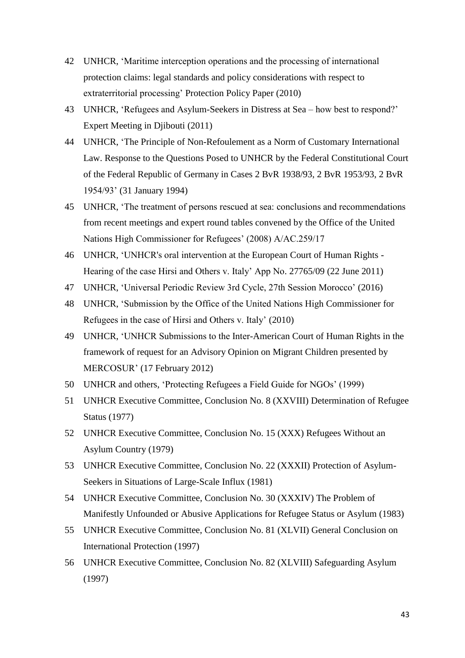- 42 UNHCR, 'Maritime interception operations and the processing of international protection claims: legal standards and policy considerations with respect to extraterritorial processing' Protection Policy Paper (2010)
- 43 UNHCR, 'Refugees and Asylum-Seekers in Distress at Sea how best to respond?' Expert Meeting in Djibouti (2011)
- 44 UNHCR, 'The Principle of Non-Refoulement as a Norm of Customary International Law. Response to the Questions Posed to UNHCR by the Federal Constitutional Court of the Federal Republic of Germany in Cases 2 BvR 1938/93, 2 BvR 1953/93, 2 BvR 1954/93' (31 January 1994)
- 45 UNHCR, 'The treatment of persons rescued at sea: conclusions and recommendations from recent meetings and expert round tables convened by the Office of the United Nations High Commissioner for Refugees' (2008) A/AC.259/17
- 46 UNHCR, 'UNHCR's oral intervention at the European Court of Human Rights Hearing of the case Hirsi and Others v. Italy' App No. 27765/09 (22 June 2011)
- 47 UNHCR, 'Universal Periodic Review 3rd Cycle, 27th Session Morocco' (2016)
- 48 UNHCR, 'Submission by the Office of the United Nations High Commissioner for Refugees in the case of Hirsi and Others v. Italy' (2010)
- 49 UNHCR, 'UNHCR Submissions to the Inter-American Court of Human Rights in the framework of request for an Advisory Opinion on Migrant Children presented by MERCOSUR' (17 February 2012)
- 50 UNHCR and others, 'Protecting Refugees a Field Guide for NGOs' (1999)
- 51 UNHCR Executive Committee, Conclusion No. 8 (XXVIII) Determination of Refugee Status (1977)
- 52 UNHCR Executive Committee, Conclusion No. 15 (XXX) Refugees Without an Asylum Country (1979)
- 53 UNHCR Executive Committee, Conclusion No. 22 (XXXII) Protection of Asylum-Seekers in Situations of Large-Scale Influx (1981)
- 54 UNHCR Executive Committee, Conclusion No. 30 (XXXIV) The Problem of Manifestly Unfounded or Abusive Applications for Refugee Status or Asylum (1983)
- 55 UNHCR Executive Committee, Conclusion No. 81 (XLVII) General Conclusion on International Protection (1997)
- 56 UNHCR Executive Committee, Conclusion No. 82 (XLVIII) Safeguarding Asylum (1997)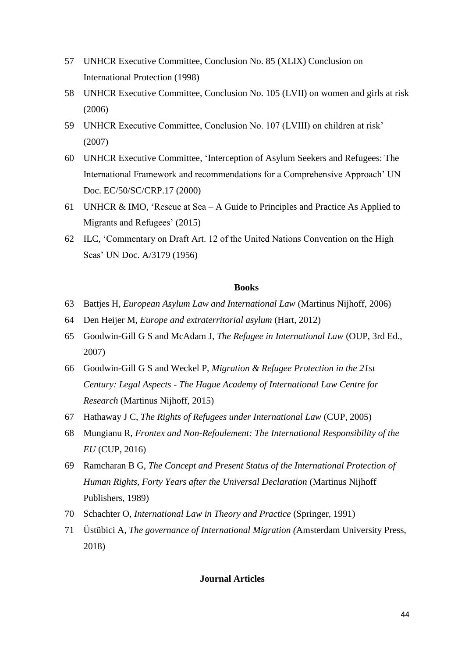- 57 UNHCR Executive Committee, Conclusion No. 85 (XLIX) Conclusion on International Protection (1998)
- 58 UNHCR Executive Committee, Conclusion No. 105 (LVII) on women and girls at risk (2006)
- 59 UNHCR Executive Committee, Conclusion No. 107 (LVIII) on children at risk' (2007)
- 60 UNHCR Executive Committee, 'Interception of Asylum Seekers and Refugees: The International Framework and recommendations for a Comprehensive Approach' UN Doc. EC/50/SC/CRP.17 (2000)
- 61 UNHCR & IMO, 'Rescue at Sea A Guide to Principles and Practice As Applied to Migrants and Refugees' (2015)
- 62 ILC, 'Commentary on Draft Art. 12 of the United Nations Convention on the High Seas' UN Doc. A/3179 (1956)

#### **Books**

- 63 Battjes H, *European Asylum Law and International Law* (Martinus Nijhoff, 2006)
- 64 Den Heijer M, *Europe and extraterritorial asylum* (Hart, 2012)
- 65 Goodwin-Gill G S and McAdam J, *The Refugee in International Law* (OUP, 3rd Ed., 2007)
- 66 Goodwin-Gill G S and Weckel P, *Migration & Refugee Protection in the 21st Century: Legal Aspects - The Hague Academy of International Law Centre for Research* (Martinus Nijhoff, 2015)
- 67 Hathaway J C, *The Rights of Refugees under International Law* (CUP, 2005)
- 68 Mungianu R, *Frontex and Non-Refoulement: The International Responsibility of the EU* (CUP, 2016)
- 69 Ramcharan B G, *The Concept and Present Status of the International Protection of Human Rights, Forty Years after the Universal Declaration* (Martinus Nijhoff Publishers, 1989)
- 70 Schachter O, *International Law in Theory and Practice* (Springer, 1991)
- 71 Üstübici A, *The governance of International Migration (*Amsterdam University Press, 2018)

#### **Journal Articles**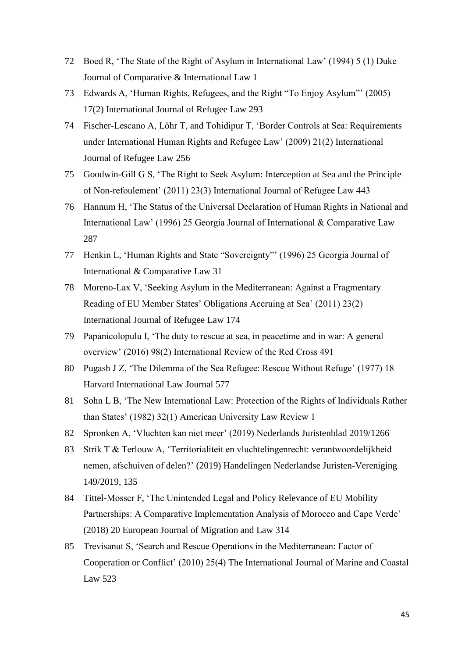- 72 Boed R, 'The State of the Right of Asylum in International Law' (1994) 5 (1) Duke Journal of Comparative & International Law 1
- 73 Edwards A, 'Human Rights, Refugees, and the Right "To Enjoy Asylum"' (2005) 17(2) International Journal of Refugee Law 293
- 74 Fischer-Lescano A, Löhr T, and Tohidipur T, 'Border Controls at Sea: Requirements under International Human Rights and Refugee Law' (2009) 21(2) International Journal of Refugee Law 256
- 75 Goodwin-Gill G S, 'The Right to Seek Asylum: Interception at Sea and the Principle of Non-refoulement' (2011) 23(3) International Journal of Refugee Law 443
- 76 Hannum H, 'The Status of the Universal Declaration of Human Rights in National and International Law' (1996) 25 Georgia Journal of International & Comparative Law 287
- 77 Henkin L, 'Human Rights and State "Sovereignty"' (1996) 25 Georgia Journal of International & Comparative Law 31
- 78 Moreno-Lax V, 'Seeking Asylum in the Mediterranean: Against a Fragmentary Reading of EU Member States' Obligations Accruing at Sea' (2011) 23(2) International Journal of Refugee Law 174
- 79 Papanicolopulu I, 'The duty to rescue at sea, in peacetime and in war: A general overview' (2016) 98(2) International Review of the Red Cross 491
- 80 Pugash J Z, 'The Dilemma of the Sea Refugee: Rescue Without Refuge' (1977) 18 Harvard International Law Journal 577
- 81 Sohn L B, 'The New International Law: Protection of the Rights of Individuals Rather than States' (1982) 32(1) American University Law Review 1
- 82 Spronken A, 'Vluchten kan niet meer' (2019) Nederlands Juristenblad 2019/1266
- 83 Strik T & Terlouw A, 'Territorialiteit en vluchtelingenrecht: verantwoordelijkheid nemen, afschuiven of delen?' (2019) Handelingen Nederlandse Juristen-Vereniging 149/2019, 135
- 84 Tittel-Mosser F, 'The Unintended Legal and Policy Relevance of EU Mobility Partnerships: A Comparative Implementation Analysis of Morocco and Cape Verde' (2018) 20 European Journal of Migration and Law 314
- 85 Trevisanut S, 'Search and Rescue Operations in the Mediterranean: Factor of Cooperation or Conflict' (2010) 25(4) The International Journal of Marine and Coastal Law 523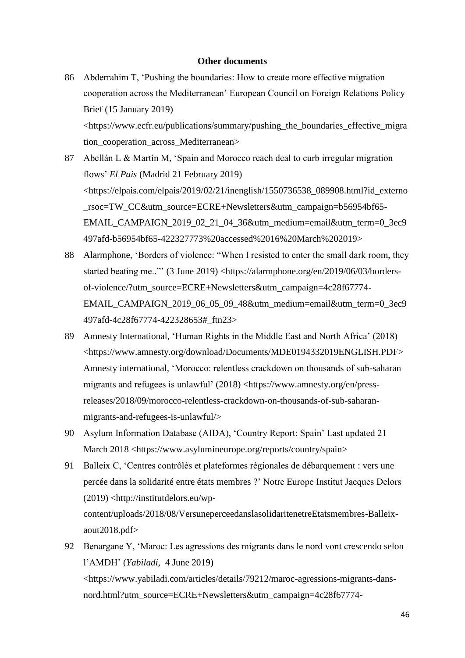#### **Other documents**

- 86 Abderrahim T, 'Pushing the boundaries: How to create more effective migration cooperation across the Mediterranean' European Council on Foreign Relations Policy Brief (15 January 2019) <https://www.ecfr.eu/publications/summary/pushing\_the\_boundaries\_effective\_migra tion cooperation across Mediterranean>
- 87 Abellán L & Martín M, 'Spain and Morocco reach deal to curb irregular migration flows' *El Pais* (Madrid 21 February 2019) <https://elpais.com/elpais/2019/02/21/inenglish/1550736538\_089908.html?id\_externo \_rsoc=TW\_CC&utm\_source=ECRE+Newsletters&utm\_campaign=b56954bf65- EMAIL\_CAMPAIGN\_2019\_02\_21\_04\_36&utm\_medium=email&utm\_term=0\_3ec9 497afd-b56954bf65-422327773%20accessed%2016%20March%202019>
- 88 Alarmphone, 'Borders of violence: "When I resisted to enter the small dark room, they started beating me.."' (3 June 2019) <https://alarmphone.org/en/2019/06/03/bordersof-violence/?utm\_source=ECRE+Newsletters&utm\_campaign=4c28f67774- EMAIL\_CAMPAIGN\_2019\_06\_05\_09\_48&utm\_medium=email&utm\_term=0\_3ec9 497afd-4c28f67774-422328653#\_ftn23>
- 89 Amnesty International, 'Human Rights in the Middle East and North Africa' (2018) <https://www.amnesty.org/download/Documents/MDE0194332019ENGLISH.PDF> Amnesty international, 'Morocco: relentless crackdown on thousands of sub-saharan migrants and refugees is unlawful' (2018) <https://www.amnesty.org/en/pressreleases/2018/09/morocco-relentless-crackdown-on-thousands-of-sub-saharanmigrants-and-refugees-is-unlawful/>
- 90 Asylum Information Database (AIDA), 'Country Report: Spain' Last updated 21 March 2018 <https://www.asylumineurope.org/reports/country/spain>
- 91 Balleix C, 'Centres contrôlés et plateformes régionales de débarquement : vers une percée dans la solidarité entre états membres ?' Notre Europe Institut Jacques Delors (2019) <http://institutdelors.eu/wpcontent/uploads/2018/08/VersuneperceedanslasolidaritenetreEtatsmembres-Balleixaout2018.pdf>
- 92 Benargane Y, 'Maroc: Les agressions des migrants dans le nord vont crescendo selon l'AMDH' (*Yabiladi,* 4 June 2019) <https://www.yabiladi.com/articles/details/79212/maroc-agressions-migrants-dansnord.html?utm\_source=ECRE+Newsletters&utm\_campaign=4c28f67774-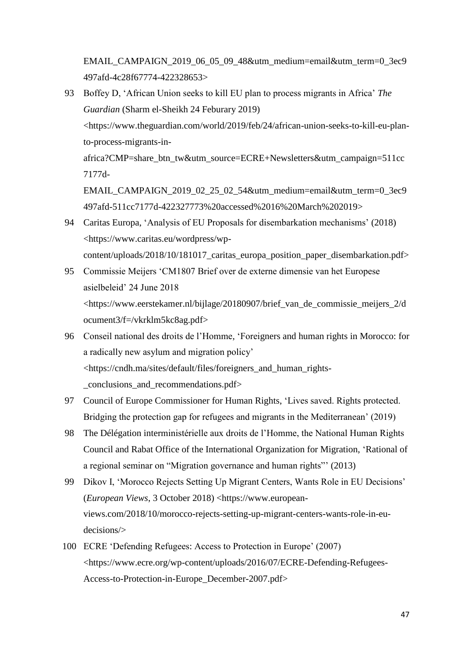EMAIL\_CAMPAIGN\_2019\_06\_05\_09\_48&utm\_medium=email&utm\_term=0\_3ec9 497afd-4c28f67774-422328653>

93 Boffey D, 'African Union seeks to kill EU plan to process migrants in Africa' *The Guardian* (Sharm el-Sheikh 24 Feburary 2019) <https://www.theguardian.com/world/2019/feb/24/african-union-seeks-to-kill-eu-planto-process-migrants-inafrica?CMP=share\_btn\_tw&utm\_source=ECRE+Newsletters&utm\_campaign=511cc

7177d-

EMAIL\_CAMPAIGN\_2019\_02\_25\_02\_54&utm\_medium=email&utm\_term=0\_3ec9 497afd-511cc7177d-422327773%20accessed%2016%20March%202019>

- 94 Caritas Europa, 'Analysis of EU Proposals for disembarkation mechanisms' (2018) <https://www.caritas.eu/wordpress/wpcontent/uploads/2018/10/181017\_caritas\_europa\_position\_paper\_disembarkation.pdf>
- 95 Commissie Meijers 'CM1807 Brief over de externe dimensie van het Europese asielbeleid' 24 June 2018 <https://www.eerstekamer.nl/bijlage/20180907/brief\_van\_de\_commissie\_meijers\_2/d ocument3/f=/vkrklm5kc8ag.pdf>
- 96 Conseil national des droits de l'Homme, 'Foreigners and human rights in Morocco: for a radically new asylum and migration policy' <https://cndh.ma/sites/default/files/foreigners\_and\_human\_rights- \_conclusions\_and\_recommendations.pdf>
- 97 Council of Europe Commissioner for Human Rights, 'Lives saved. Rights protected. Bridging the protection gap for refugees and migrants in the Mediterranean' (2019)
- 98 The Délégation interministérielle aux droits de l'Homme, the National Human Rights Council and Rabat Office of the International Organization for Migration, 'Rational of a regional seminar on "Migration governance and human rights"' (2013)
- 99 Dikov I, 'Morocco Rejects Setting Up Migrant Centers, Wants Role in EU Decisions' (*European Views*, 3 October 2018) <https://www.europeanviews.com/2018/10/morocco-rejects-setting-up-migrant-centers-wants-role-in-eudecisions/>
- 100 ECRE 'Defending Refugees: Access to Protection in Europe' (2007) <https://www.ecre.org/wp-content/uploads/2016/07/ECRE-Defending-Refugees-Access-to-Protection-in-Europe\_December-2007.pdf>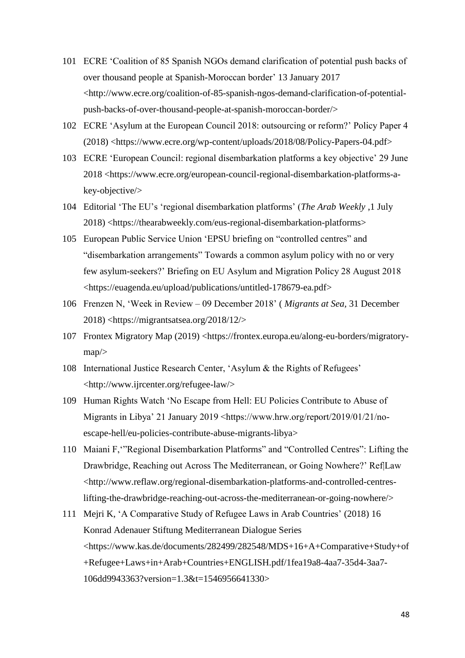- 101 ECRE 'Coalition of 85 Spanish NGOs demand clarification of potential push backs of over thousand people at Spanish-Moroccan border' 13 January 2017 <http://www.ecre.org/coalition-of-85-spanish-ngos-demand-clarification-of-potentialpush-backs-of-over-thousand-people-at-spanish-moroccan-border/>
- 102 ECRE 'Asylum at the European Council 2018: outsourcing or reform?' Policy Paper 4 (2018) <https://www.ecre.org/wp-content/uploads/2018/08/Policy-Papers-04.pdf>
- 103 ECRE 'European Council: regional disembarkation platforms a key objective' 29 June 2018 <https://www.ecre.org/european-council-regional-disembarkation-platforms-akey-objective/>
- 104 Editorial 'The EU's 'regional disembarkation platforms' (*The Arab Weekly* ,1 July 2018) <https://thearabweekly.com/eus-regional-disembarkation-platforms>
- 105 European Public Service Union 'EPSU briefing on "controlled centres" and "disembarkation arrangements" Towards a common asylum policy with no or very few asylum-seekers?' Briefing on EU Asylum and Migration Policy 28 August 2018 <https://euagenda.eu/upload/publications/untitled-178679-ea.pdf>
- 106 Frenzen N, 'Week in Review 09 December 2018' ( *Migrants at Sea,* 31 December 2018) <https://migrantsatsea.org/2018/12/>
- 107 Frontex Migratory Map (2019) <https://frontex.europa.eu/along-eu-borders/migratorymap/>
- 108 International Justice Research Center, 'Asylum & the Rights of Refugees' <http://www.ijrcenter.org/refugee-law/>
- 109 Human Rights Watch 'No Escape from Hell: EU Policies Contribute to Abuse of Migrants in Libya' 21 January 2019 <https://www.hrw.org/report/2019/01/21/noescape-hell/eu-policies-contribute-abuse-migrants-libya>
- 110 Maiani F,'"Regional Disembarkation Platforms" and "Controlled Centres": Lifting the Drawbridge, Reaching out Across The Mediterranean, or Going Nowhere?' Ref|Law <http://www.reflaw.org/regional-disembarkation-platforms-and-controlled-centreslifting-the-drawbridge-reaching-out-across-the-mediterranean-or-going-nowhere/>
- 111 Mejri K, 'A Comparative Study of Refugee Laws in Arab Countries' (2018) 16 Konrad Adenauer Stiftung Mediterranean Dialogue Series <https://www.kas.de/documents/282499/282548/MDS+16+A+Comparative+Study+of +Refugee+Laws+in+Arab+Countries+ENGLISH.pdf/1fea19a8-4aa7-35d4-3aa7- 106dd9943363?version=1.3&t=1546956641330>